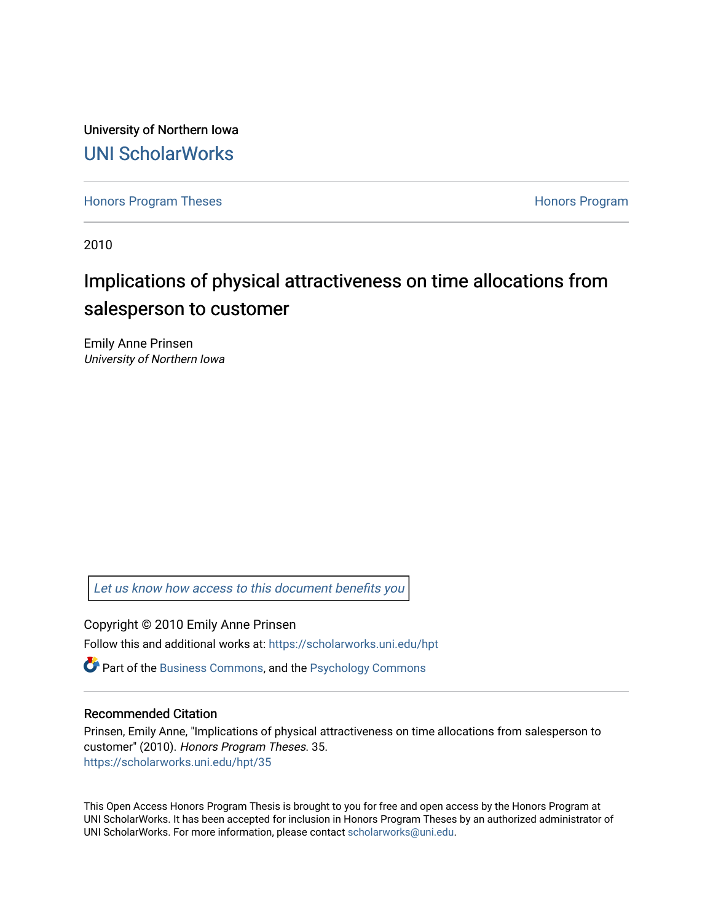University of Northern Iowa [UNI ScholarWorks](https://scholarworks.uni.edu/) 

[Honors Program Theses](https://scholarworks.uni.edu/hpt) **Honors Program** Honors Program

2010

# Implications of physical attractiveness on time allocations from salesperson to customer

Emily Anne Prinsen University of Northern Iowa

[Let us know how access to this document benefits you](https://scholarworks.uni.edu/feedback_form.html) 

Copyright © 2010 Emily Anne Prinsen

Follow this and additional works at: [https://scholarworks.uni.edu/hpt](https://scholarworks.uni.edu/hpt?utm_source=scholarworks.uni.edu%2Fhpt%2F35&utm_medium=PDF&utm_campaign=PDFCoverPages) 

**P** Part of the [Business Commons](http://network.bepress.com/hgg/discipline/622?utm_source=scholarworks.uni.edu%2Fhpt%2F35&utm_medium=PDF&utm_campaign=PDFCoverPages), and the Psychology Commons

#### Recommended Citation

Prinsen, Emily Anne, "Implications of physical attractiveness on time allocations from salesperson to customer" (2010). Honors Program Theses. 35. [https://scholarworks.uni.edu/hpt/35](https://scholarworks.uni.edu/hpt/35?utm_source=scholarworks.uni.edu%2Fhpt%2F35&utm_medium=PDF&utm_campaign=PDFCoverPages)

This Open Access Honors Program Thesis is brought to you for free and open access by the Honors Program at UNI ScholarWorks. It has been accepted for inclusion in Honors Program Theses by an authorized administrator of UNI ScholarWorks. For more information, please contact [scholarworks@uni.edu.](mailto:scholarworks@uni.edu)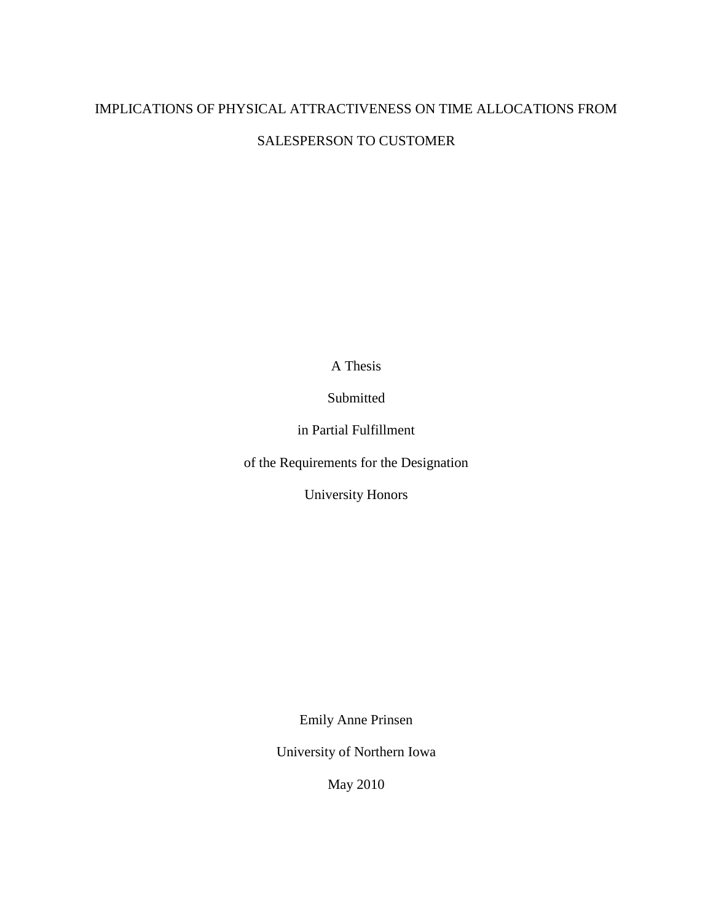A Thesis

Submitted

in Partial Fulfillment

of the Requirements for the Designation

University Honors

Emily Anne Prinsen

University of Northern Iowa

May 2010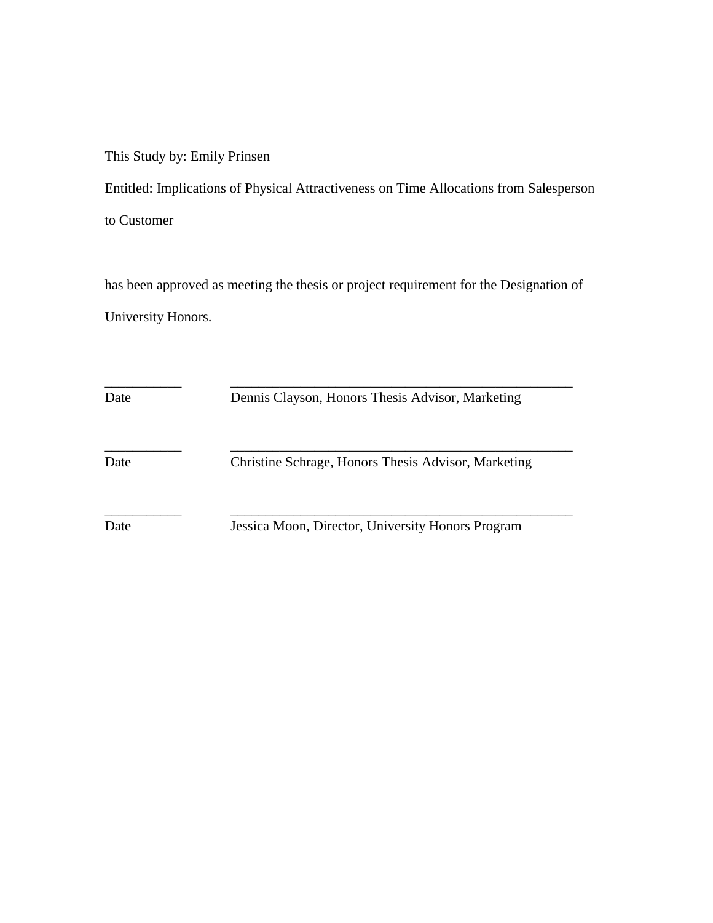This Study by: Emily Prinsen

Entitled: Implications of Physical Attractiveness on Time Allocations from Salesperson

to Customer

has been approved as meeting the thesis or project requirement for the Designation of University Honors.

\_\_\_\_\_\_\_\_\_\_\_ \_\_\_\_\_\_\_\_\_\_\_\_\_\_\_\_\_\_\_\_\_\_\_\_\_\_\_\_\_\_\_\_\_\_\_\_\_\_\_\_\_\_\_\_\_\_\_\_\_ Date Dennis Clayson, Honors Thesis Advisor, Marketing \_\_\_\_\_\_\_\_\_\_\_ \_\_\_\_\_\_\_\_\_\_\_\_\_\_\_\_\_\_\_\_\_\_\_\_\_\_\_\_\_\_\_\_\_\_\_\_\_\_\_\_\_\_\_\_\_\_\_\_\_ Date Christine Schrage, Honors Thesis Advisor, Marketing \_\_\_\_\_\_\_\_\_\_\_ \_\_\_\_\_\_\_\_\_\_\_\_\_\_\_\_\_\_\_\_\_\_\_\_\_\_\_\_\_\_\_\_\_\_\_\_\_\_\_\_\_\_\_\_\_\_\_\_\_ Date Jessica Moon, Director, University Honors Program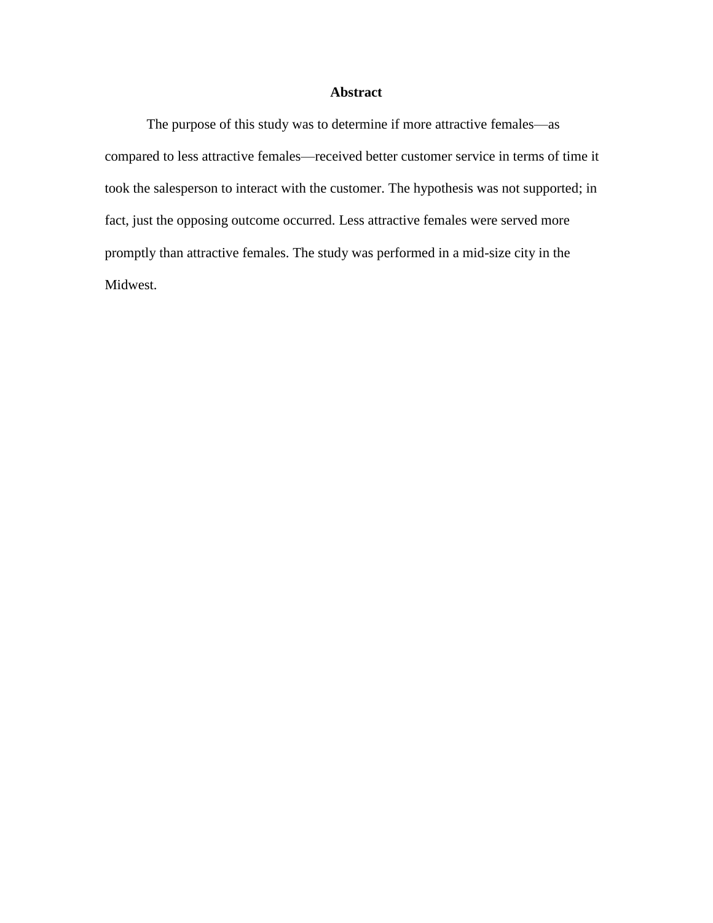# **Abstract**

The purpose of this study was to determine if more attractive females—as compared to less attractive females—received better customer service in terms of time it took the salesperson to interact with the customer. The hypothesis was not supported; in fact, just the opposing outcome occurred. Less attractive females were served more promptly than attractive females. The study was performed in a mid-size city in the Midwest.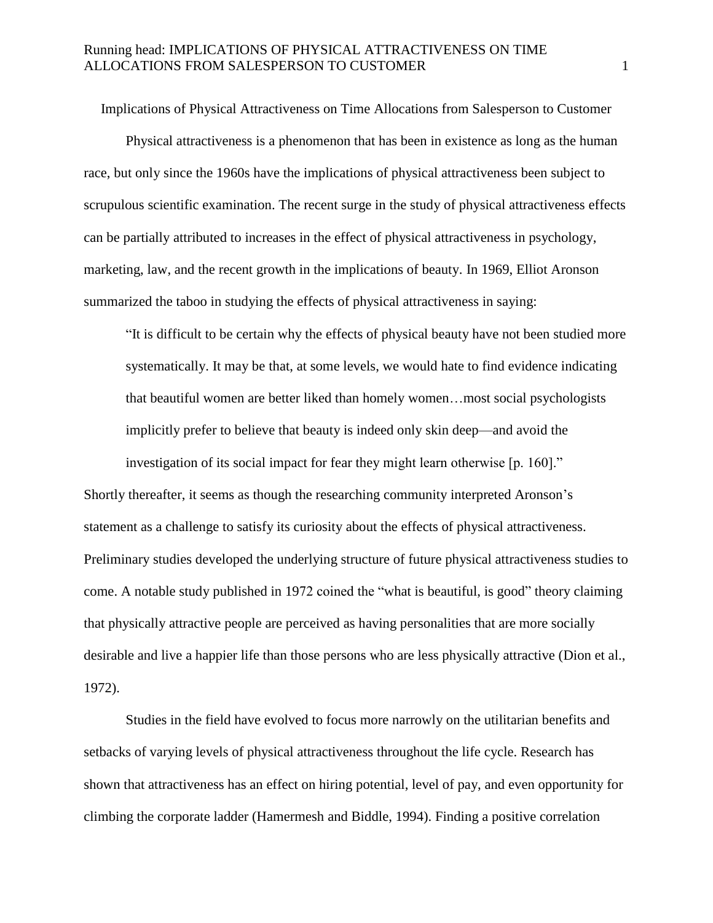Implications of Physical Attractiveness on Time Allocations from Salesperson to Customer

Physical attractiveness is a phenomenon that has been in existence as long as the human race, but only since the 1960s have the implications of physical attractiveness been subject to scrupulous scientific examination. The recent surge in the study of physical attractiveness effects can be partially attributed to increases in the effect of physical attractiveness in psychology, marketing, law, and the recent growth in the implications of beauty. In 1969, Elliot Aronson summarized the taboo in studying the effects of physical attractiveness in saying:

"It is difficult to be certain why the effects of physical beauty have not been studied more systematically. It may be that, at some levels, we would hate to find evidence indicating that beautiful women are better liked than homely women…most social psychologists implicitly prefer to believe that beauty is indeed only skin deep—and avoid the

investigation of its social impact for fear they might learn otherwise [p. 160]." Shortly thereafter, it seems as though the researching community interpreted Aronson's statement as a challenge to satisfy its curiosity about the effects of physical attractiveness. Preliminary studies developed the underlying structure of future physical attractiveness studies to come. A notable study published in 1972 coined the "what is beautiful, is good" theory claiming that physically attractive people are perceived as having personalities that are more socially desirable and live a happier life than those persons who are less physically attractive (Dion et al., 1972).

Studies in the field have evolved to focus more narrowly on the utilitarian benefits and setbacks of varying levels of physical attractiveness throughout the life cycle. Research has shown that attractiveness has an effect on hiring potential, level of pay, and even opportunity for climbing the corporate ladder (Hamermesh and Biddle, 1994). Finding a positive correlation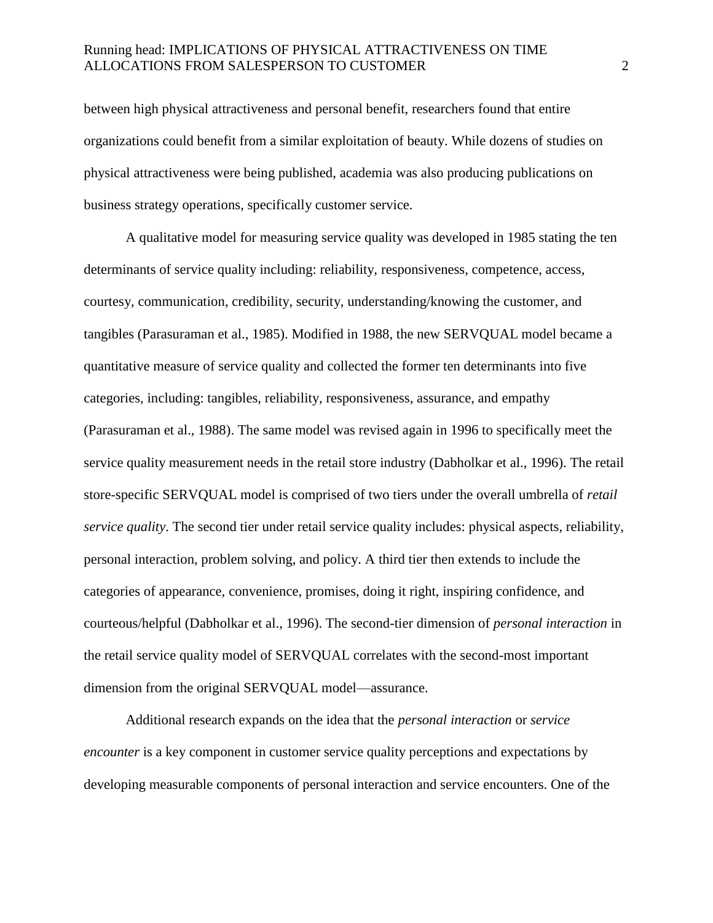between high physical attractiveness and personal benefit, researchers found that entire organizations could benefit from a similar exploitation of beauty. While dozens of studies on physical attractiveness were being published, academia was also producing publications on business strategy operations, specifically customer service.

A qualitative model for measuring service quality was developed in 1985 stating the ten determinants of service quality including: reliability, responsiveness, competence, access, courtesy, communication, credibility, security, understanding/knowing the customer, and tangibles (Parasuraman et al., 1985). Modified in 1988, the new SERVQUAL model became a quantitative measure of service quality and collected the former ten determinants into five categories, including: tangibles, reliability, responsiveness, assurance, and empathy (Parasuraman et al., 1988). The same model was revised again in 1996 to specifically meet the service quality measurement needs in the retail store industry (Dabholkar et al., 1996). The retail store-specific SERVQUAL model is comprised of two tiers under the overall umbrella of *retail service quality*. The second tier under retail service quality includes: physical aspects, reliability, personal interaction, problem solving, and policy. A third tier then extends to include the categories of appearance, convenience, promises, doing it right, inspiring confidence, and courteous/helpful (Dabholkar et al., 1996). The second-tier dimension of *personal interaction* in the retail service quality model of SERVQUAL correlates with the second-most important dimension from the original SERVQUAL model—assurance.

Additional research expands on the idea that the *personal interaction* or *service encounter* is a key component in customer service quality perceptions and expectations by developing measurable components of personal interaction and service encounters. One of the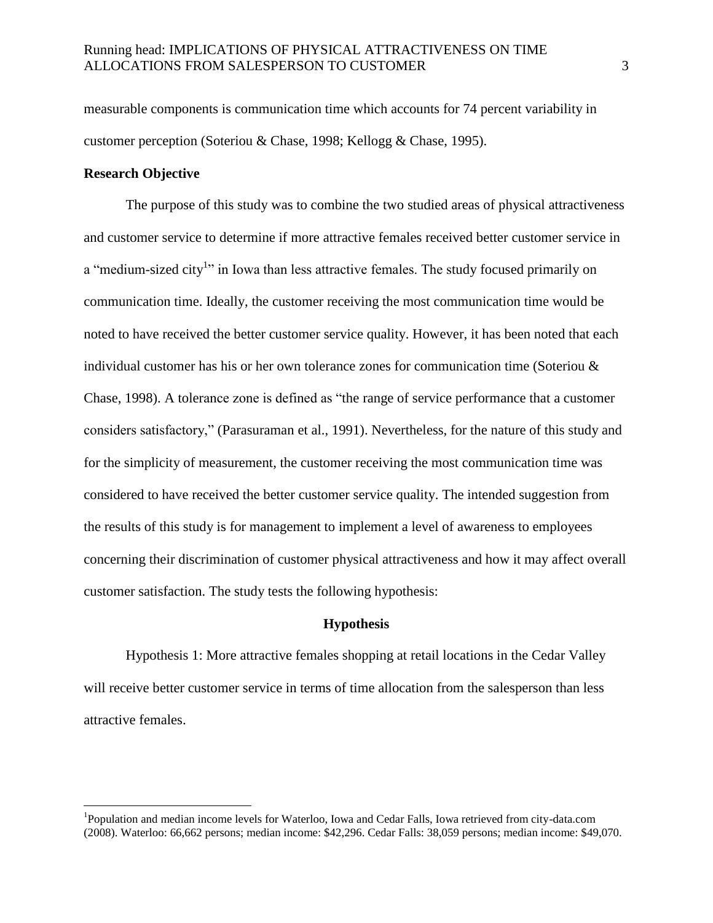measurable components is communication time which accounts for 74 percent variability in customer perception (Soteriou & Chase, 1998; Kellogg & Chase, 1995).

#### **Research Objective**

 $\overline{a}$ 

The purpose of this study was to combine the two studied areas of physical attractiveness and customer service to determine if more attractive females received better customer service in a "medium-sized city<sup>1</sup>" in Iowa than less attractive females. The study focused primarily on communication time. Ideally, the customer receiving the most communication time would be noted to have received the better customer service quality. However, it has been noted that each individual customer has his or her own tolerance zones for communication time (Soteriou & Chase, 1998). A tolerance zone is defined as "the range of service performance that a customer considers satisfactory," (Parasuraman et al., 1991). Nevertheless, for the nature of this study and for the simplicity of measurement, the customer receiving the most communication time was considered to have received the better customer service quality. The intended suggestion from the results of this study is for management to implement a level of awareness to employees concerning their discrimination of customer physical attractiveness and how it may affect overall customer satisfaction. The study tests the following hypothesis:

#### **Hypothesis**

Hypothesis 1: More attractive females shopping at retail locations in the Cedar Valley will receive better customer service in terms of time allocation from the salesperson than less attractive females.

<sup>&</sup>lt;sup>1</sup>Population and median income levels for Waterloo, Iowa and Cedar Falls, Iowa retrieved from city-data.com (2008). Waterloo: 66,662 persons; median income: \$42,296. Cedar Falls: 38,059 persons; median income: \$49,070.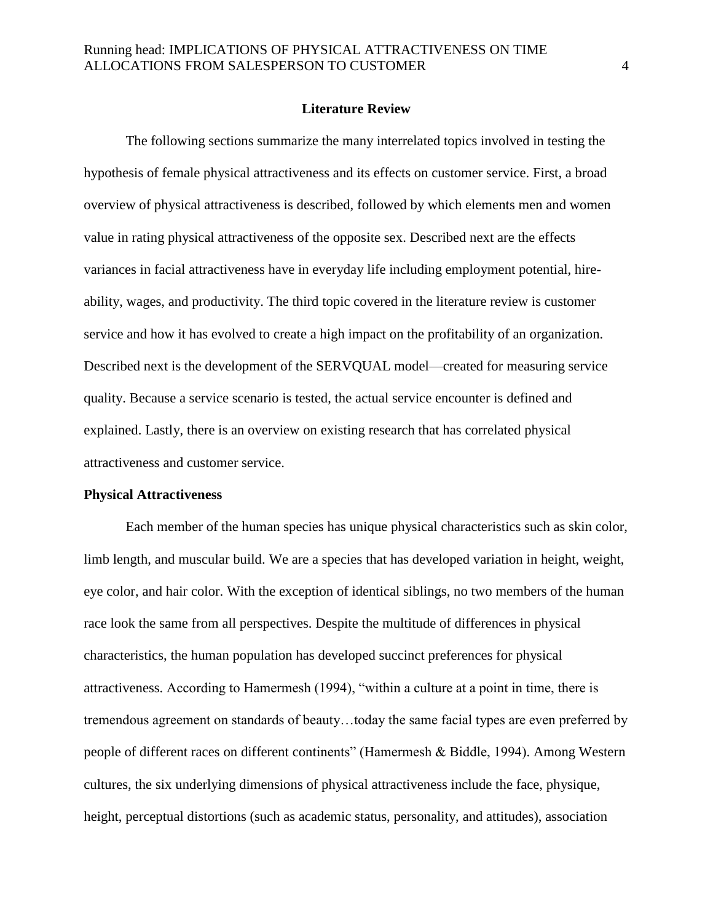#### **Literature Review**

The following sections summarize the many interrelated topics involved in testing the hypothesis of female physical attractiveness and its effects on customer service. First, a broad overview of physical attractiveness is described, followed by which elements men and women value in rating physical attractiveness of the opposite sex. Described next are the effects variances in facial attractiveness have in everyday life including employment potential, hireability, wages, and productivity. The third topic covered in the literature review is customer service and how it has evolved to create a high impact on the profitability of an organization. Described next is the development of the SERVQUAL model—created for measuring service quality. Because a service scenario is tested, the actual service encounter is defined and explained. Lastly, there is an overview on existing research that has correlated physical attractiveness and customer service.

#### **Physical Attractiveness**

Each member of the human species has unique physical characteristics such as skin color, limb length, and muscular build. We are a species that has developed variation in height, weight, eye color, and hair color. With the exception of identical siblings, no two members of the human race look the same from all perspectives. Despite the multitude of differences in physical characteristics, the human population has developed succinct preferences for physical attractiveness. According to Hamermesh (1994), "within a culture at a point in time, there is tremendous agreement on standards of beauty…today the same facial types are even preferred by people of different races on different continents" (Hamermesh & Biddle, 1994). Among Western cultures, the six underlying dimensions of physical attractiveness include the face, physique, height, perceptual distortions (such as academic status, personality, and attitudes), association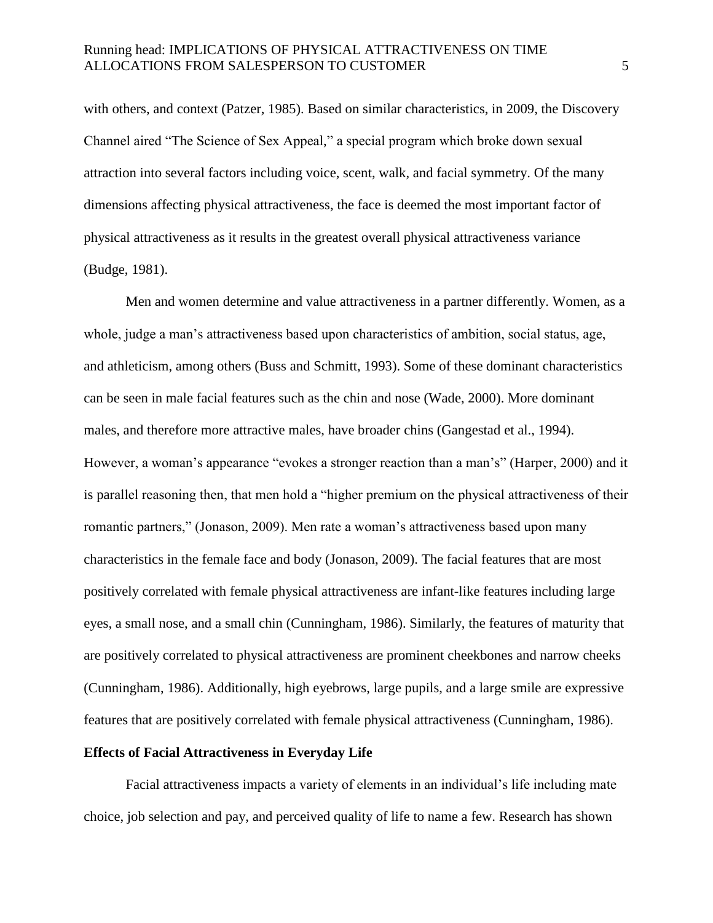with others, and context (Patzer, 1985). Based on similar characteristics, in 2009, the Discovery Channel aired "The Science of Sex Appeal," a special program which broke down sexual attraction into several factors including voice, scent, walk, and facial symmetry. Of the many dimensions affecting physical attractiveness, the face is deemed the most important factor of physical attractiveness as it results in the greatest overall physical attractiveness variance (Budge, 1981).

Men and women determine and value attractiveness in a partner differently. Women, as a whole, judge a man's attractiveness based upon characteristics of ambition, social status, age, and athleticism, among others (Buss and Schmitt, 1993). Some of these dominant characteristics can be seen in male facial features such as the chin and nose (Wade, 2000). More dominant males, and therefore more attractive males, have broader chins (Gangestad et al., 1994). However, a woman's appearance "evokes a stronger reaction than a man's" (Harper, 2000) and it is parallel reasoning then, that men hold a "higher premium on the physical attractiveness of their romantic partners," (Jonason, 2009). Men rate a woman's attractiveness based upon many characteristics in the female face and body (Jonason, 2009). The facial features that are most positively correlated with female physical attractiveness are infant-like features including large eyes, a small nose, and a small chin (Cunningham, 1986). Similarly, the features of maturity that are positively correlated to physical attractiveness are prominent cheekbones and narrow cheeks (Cunningham, 1986). Additionally, high eyebrows, large pupils, and a large smile are expressive features that are positively correlated with female physical attractiveness (Cunningham, 1986).

#### **Effects of Facial Attractiveness in Everyday Life**

Facial attractiveness impacts a variety of elements in an individual's life including mate choice, job selection and pay, and perceived quality of life to name a few. Research has shown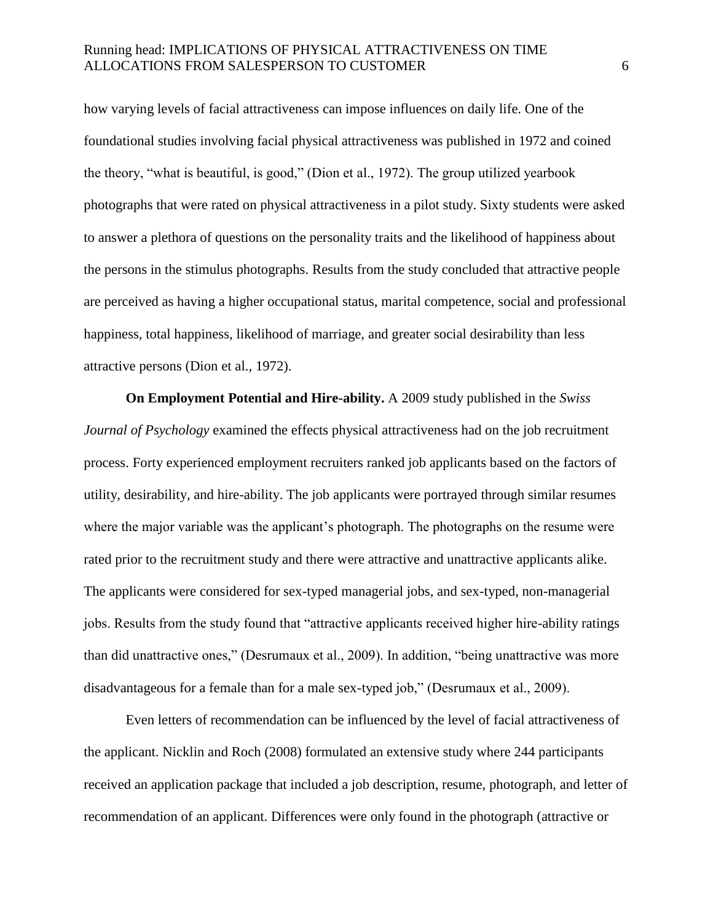how varying levels of facial attractiveness can impose influences on daily life. One of the foundational studies involving facial physical attractiveness was published in 1972 and coined the theory, "what is beautiful, is good," (Dion et al., 1972). The group utilized yearbook photographs that were rated on physical attractiveness in a pilot study. Sixty students were asked to answer a plethora of questions on the personality traits and the likelihood of happiness about the persons in the stimulus photographs. Results from the study concluded that attractive people are perceived as having a higher occupational status, marital competence, social and professional happiness, total happiness, likelihood of marriage, and greater social desirability than less attractive persons (Dion et al., 1972).

**On Employment Potential and Hire-ability.** A 2009 study published in the *Swiss Journal of Psychology* examined the effects physical attractiveness had on the job recruitment process. Forty experienced employment recruiters ranked job applicants based on the factors of utility, desirability, and hire-ability. The job applicants were portrayed through similar resumes where the major variable was the applicant's photograph. The photographs on the resume were rated prior to the recruitment study and there were attractive and unattractive applicants alike. The applicants were considered for sex-typed managerial jobs, and sex-typed, non-managerial jobs. Results from the study found that "attractive applicants received higher hire-ability ratings than did unattractive ones," (Desrumaux et al., 2009). In addition, "being unattractive was more disadvantageous for a female than for a male sex-typed job," (Desrumaux et al., 2009).

Even letters of recommendation can be influenced by the level of facial attractiveness of the applicant. Nicklin and Roch (2008) formulated an extensive study where 244 participants received an application package that included a job description, resume, photograph, and letter of recommendation of an applicant. Differences were only found in the photograph (attractive or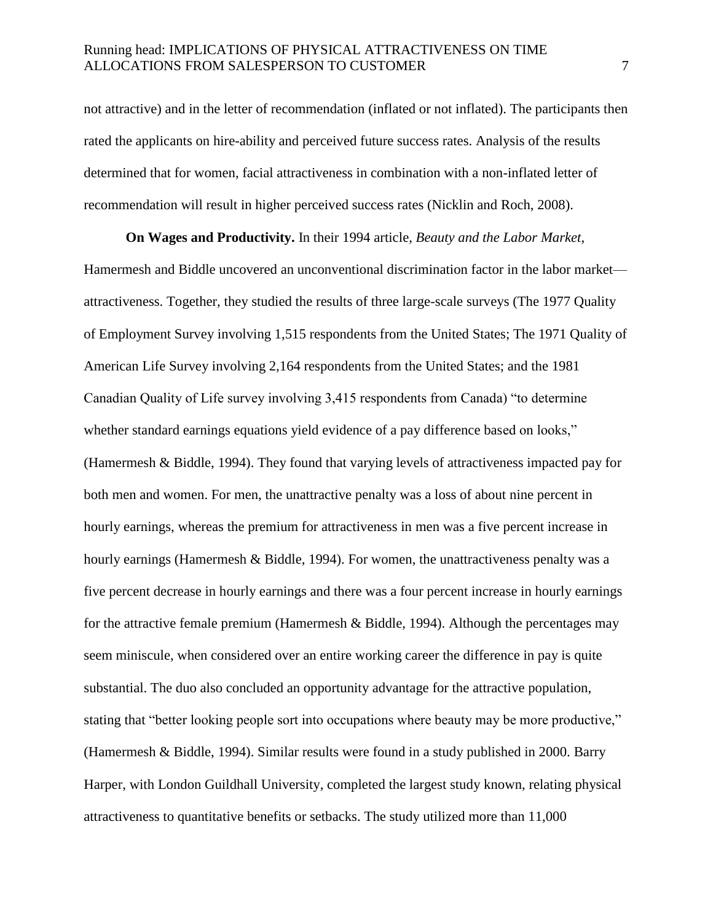not attractive) and in the letter of recommendation (inflated or not inflated). The participants then rated the applicants on hire-ability and perceived future success rates. Analysis of the results determined that for women, facial attractiveness in combination with a non-inflated letter of recommendation will result in higher perceived success rates (Nicklin and Roch, 2008).

**On Wages and Productivity.** In their 1994 article, *Beauty and the Labor Market*, Hamermesh and Biddle uncovered an unconventional discrimination factor in the labor market attractiveness. Together, they studied the results of three large-scale surveys (The 1977 Quality of Employment Survey involving 1,515 respondents from the United States; The 1971 Quality of American Life Survey involving 2,164 respondents from the United States; and the 1981 Canadian Quality of Life survey involving 3,415 respondents from Canada) "to determine whether standard earnings equations yield evidence of a pay difference based on looks," (Hamermesh & Biddle, 1994). They found that varying levels of attractiveness impacted pay for both men and women. For men, the unattractive penalty was a loss of about nine percent in hourly earnings, whereas the premium for attractiveness in men was a five percent increase in hourly earnings (Hamermesh & Biddle, 1994). For women, the unattractiveness penalty was a five percent decrease in hourly earnings and there was a four percent increase in hourly earnings for the attractive female premium (Hamermesh  $&$  Biddle, 1994). Although the percentages may seem miniscule, when considered over an entire working career the difference in pay is quite substantial. The duo also concluded an opportunity advantage for the attractive population, stating that "better looking people sort into occupations where beauty may be more productive," (Hamermesh & Biddle, 1994). Similar results were found in a study published in 2000. Barry Harper, with London Guildhall University, completed the largest study known, relating physical attractiveness to quantitative benefits or setbacks. The study utilized more than 11,000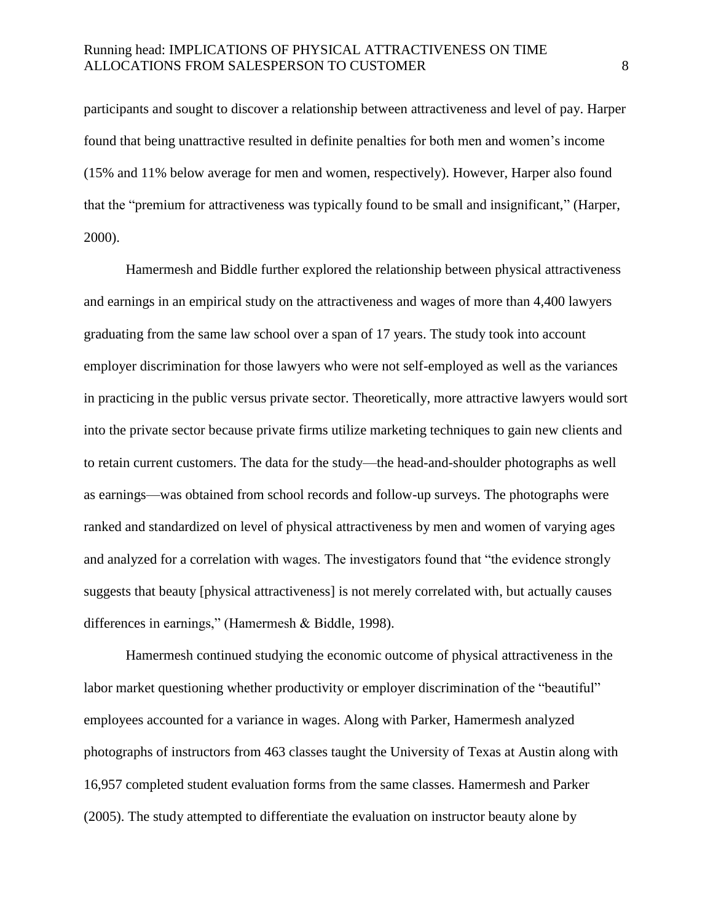participants and sought to discover a relationship between attractiveness and level of pay. Harper found that being unattractive resulted in definite penalties for both men and women's income (15% and 11% below average for men and women, respectively). However, Harper also found that the "premium for attractiveness was typically found to be small and insignificant," (Harper, 2000).

Hamermesh and Biddle further explored the relationship between physical attractiveness and earnings in an empirical study on the attractiveness and wages of more than 4,400 lawyers graduating from the same law school over a span of 17 years. The study took into account employer discrimination for those lawyers who were not self-employed as well as the variances in practicing in the public versus private sector. Theoretically, more attractive lawyers would sort into the private sector because private firms utilize marketing techniques to gain new clients and to retain current customers. The data for the study—the head-and-shoulder photographs as well as earnings—was obtained from school records and follow-up surveys. The photographs were ranked and standardized on level of physical attractiveness by men and women of varying ages and analyzed for a correlation with wages. The investigators found that "the evidence strongly suggests that beauty [physical attractiveness] is not merely correlated with, but actually causes differences in earnings," (Hamermesh & Biddle, 1998).

Hamermesh continued studying the economic outcome of physical attractiveness in the labor market questioning whether productivity or employer discrimination of the "beautiful" employees accounted for a variance in wages. Along with Parker, Hamermesh analyzed photographs of instructors from 463 classes taught the University of Texas at Austin along with 16,957 completed student evaluation forms from the same classes. Hamermesh and Parker (2005). The study attempted to differentiate the evaluation on instructor beauty alone by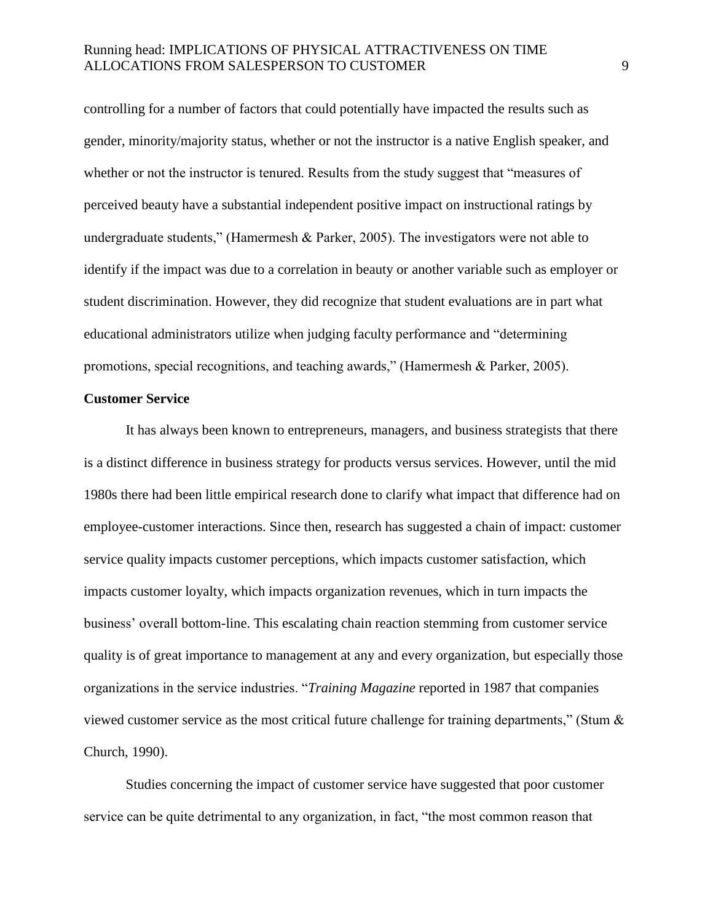controlling for a number of factors that could potentially have impacted the results such as gender, minority/majority status, whether or not the instructor is a native English speaker, and whether or not the instructor is tenured. Results from the study suggest that "measures of perceived beauty have a substantial independent positive impact on instructional ratings by undergraduate students," (Hamermesh & Parker, 2005). The investigators were not able to identify if the impact was due to a correlation in beauty or another variable such as employer or student discrimination. However, they did recognize that student evaluations are in part what educational administrators utilize when judging faculty performance and "determining promotions, special recognitions, and teaching awards," (Hamermesh & Parker, 2005).

#### **Customer Service**

It has always been known to entrepreneurs, managers, and business strategists that there is a distinct difference in business strategy for products versus services. However, until the mid 1980s there had been little empirical research done to clarify what impact that difference had on employee-customer interactions. Since then, research has suggested a chain of impact: customer service quality impacts customer perceptions, which impacts customer satisfaction, which impacts customer loyalty, which impacts organization revenues, which in turn impacts the business' overall bottom-line. This escalating chain reaction stemming from customer service quality is of great importance to management at any and every organization, but especially those organizations in the service industries. "*Training Magazine* reported in 1987 that companies viewed customer service as the most critical future challenge for training departments," (Stum & Church, 1990).

Studies concerning the impact of customer service have suggested that poor customer service can be quite detrimental to any organization, in fact, "the most common reason that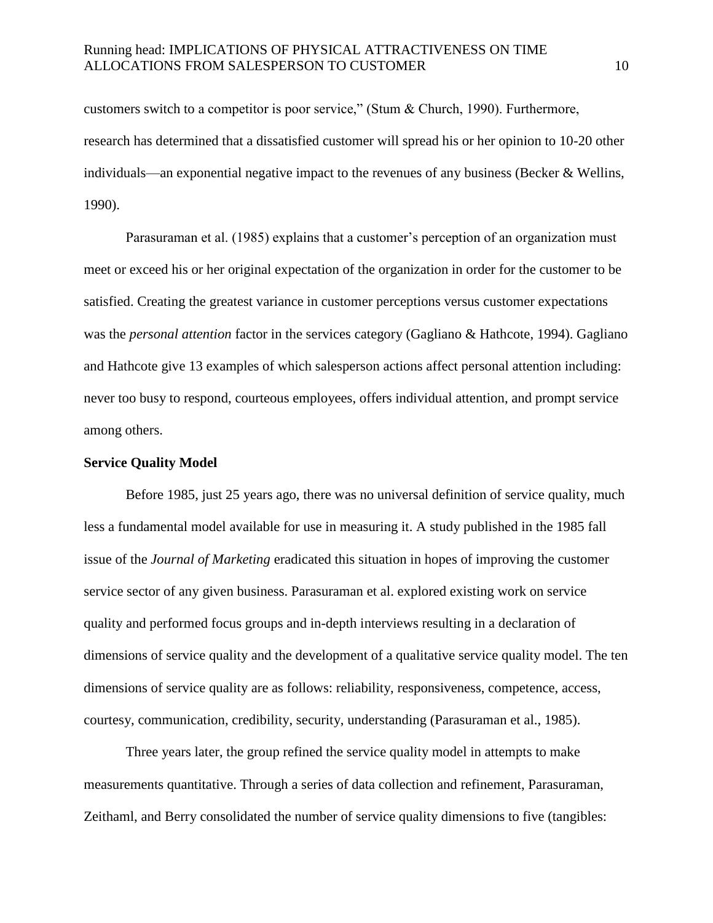customers switch to a competitor is poor service," (Stum & Church, 1990). Furthermore, research has determined that a dissatisfied customer will spread his or her opinion to 10-20 other individuals—an exponential negative impact to the revenues of any business (Becker & Wellins, 1990).

Parasuraman et al. (1985) explains that a customer's perception of an organization must meet or exceed his or her original expectation of the organization in order for the customer to be satisfied. Creating the greatest variance in customer perceptions versus customer expectations was the *personal attention* factor in the services category (Gagliano & Hathcote, 1994). Gagliano and Hathcote give 13 examples of which salesperson actions affect personal attention including: never too busy to respond, courteous employees, offers individual attention, and prompt service among others.

#### **Service Quality Model**

Before 1985, just 25 years ago, there was no universal definition of service quality, much less a fundamental model available for use in measuring it. A study published in the 1985 fall issue of the *Journal of Marketing* eradicated this situation in hopes of improving the customer service sector of any given business. Parasuraman et al. explored existing work on service quality and performed focus groups and in-depth interviews resulting in a declaration of dimensions of service quality and the development of a qualitative service quality model. The ten dimensions of service quality are as follows: reliability, responsiveness, competence, access, courtesy, communication, credibility, security, understanding (Parasuraman et al., 1985).

Three years later, the group refined the service quality model in attempts to make measurements quantitative. Through a series of data collection and refinement, Parasuraman, Zeithaml, and Berry consolidated the number of service quality dimensions to five (tangibles: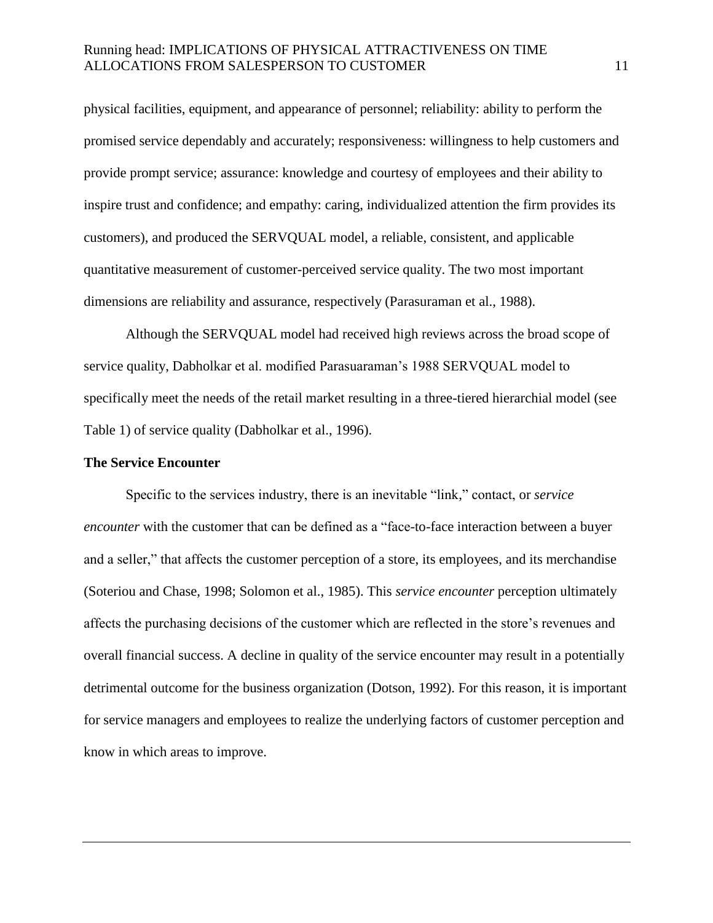physical facilities, equipment, and appearance of personnel; reliability: ability to perform the promised service dependably and accurately; responsiveness: willingness to help customers and provide prompt service; assurance: knowledge and courtesy of employees and their ability to inspire trust and confidence; and empathy: caring, individualized attention the firm provides its customers), and produced the SERVQUAL model, a reliable, consistent, and applicable quantitative measurement of customer-perceived service quality. The two most important dimensions are reliability and assurance, respectively (Parasuraman et al., 1988).

Although the SERVQUAL model had received high reviews across the broad scope of service quality, Dabholkar et al. modified Parasuaraman's 1988 SERVQUAL model to specifically meet the needs of the retail market resulting in a three-tiered hierarchial model (see Table 1) of service quality (Dabholkar et al., 1996).

#### **The Service Encounter**

Specific to the services industry, there is an inevitable "link," contact, or *service encounter* with the customer that can be defined as a "face-to-face interaction between a buyer and a seller," that affects the customer perception of a store, its employees, and its merchandise (Soteriou and Chase, 1998; Solomon et al., 1985). This *service encounter* perception ultimately affects the purchasing decisions of the customer which are reflected in the store's revenues and overall financial success. A decline in quality of the service encounter may result in a potentially detrimental outcome for the business organization (Dotson, 1992). For this reason, it is important for service managers and employees to realize the underlying factors of customer perception and know in which areas to improve.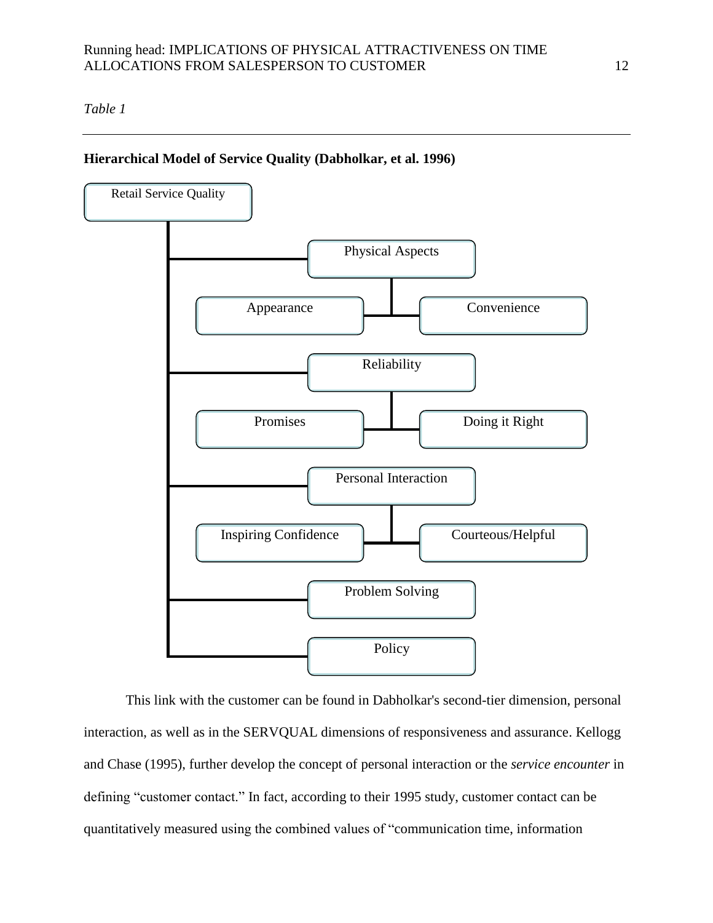# *Table 1*

#### **Hierarchical Model of Service Quality (Dabholkar, et al. 1996)**



This link with the customer can be found in Dabholkar's second-tier dimension, personal interaction, as well as in the SERVQUAL dimensions of responsiveness and assurance. Kellogg and Chase (1995), further develop the concept of personal interaction or the *service encounter* in defining "customer contact." In fact, according to their 1995 study, customer contact can be quantitatively measured using the combined values of "communication time, information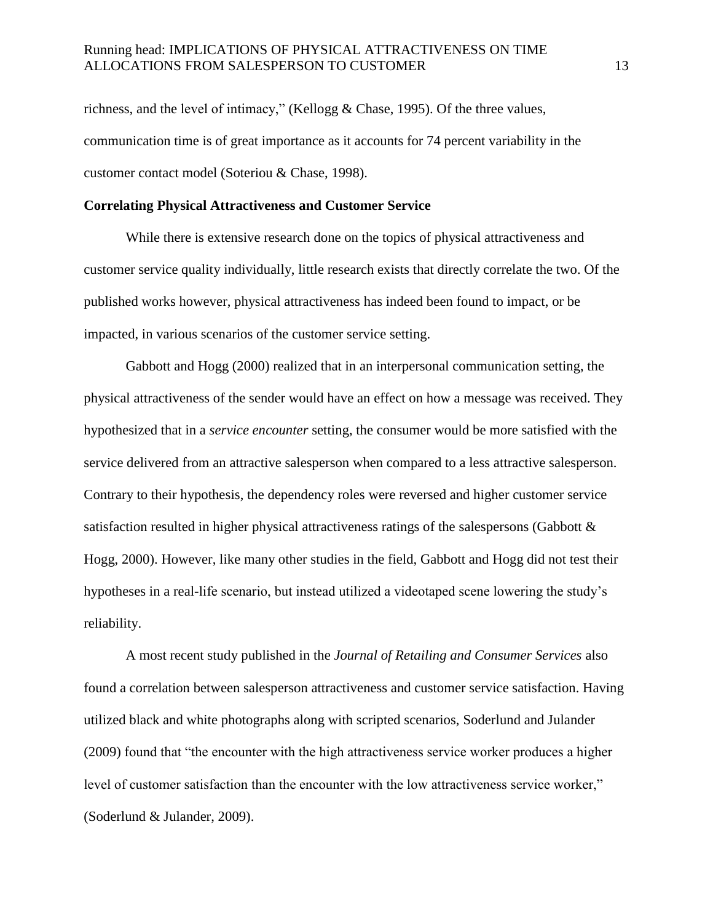richness, and the level of intimacy," (Kellogg & Chase, 1995). Of the three values, communication time is of great importance as it accounts for 74 percent variability in the customer contact model (Soteriou & Chase, 1998).

#### **Correlating Physical Attractiveness and Customer Service**

While there is extensive research done on the topics of physical attractiveness and customer service quality individually, little research exists that directly correlate the two. Of the published works however, physical attractiveness has indeed been found to impact, or be impacted, in various scenarios of the customer service setting.

Gabbott and Hogg (2000) realized that in an interpersonal communication setting, the physical attractiveness of the sender would have an effect on how a message was received. They hypothesized that in a *service encounter* setting, the consumer would be more satisfied with the service delivered from an attractive salesperson when compared to a less attractive salesperson. Contrary to their hypothesis, the dependency roles were reversed and higher customer service satisfaction resulted in higher physical attractiveness ratings of the salespersons (Gabbott & Hogg, 2000). However, like many other studies in the field, Gabbott and Hogg did not test their hypotheses in a real-life scenario, but instead utilized a videotaped scene lowering the study's reliability.

A most recent study published in the *Journal of Retailing and Consumer Services* also found a correlation between salesperson attractiveness and customer service satisfaction. Having utilized black and white photographs along with scripted scenarios, Soderlund and Julander (2009) found that "the encounter with the high attractiveness service worker produces a higher level of customer satisfaction than the encounter with the low attractiveness service worker," (Soderlund & Julander, 2009).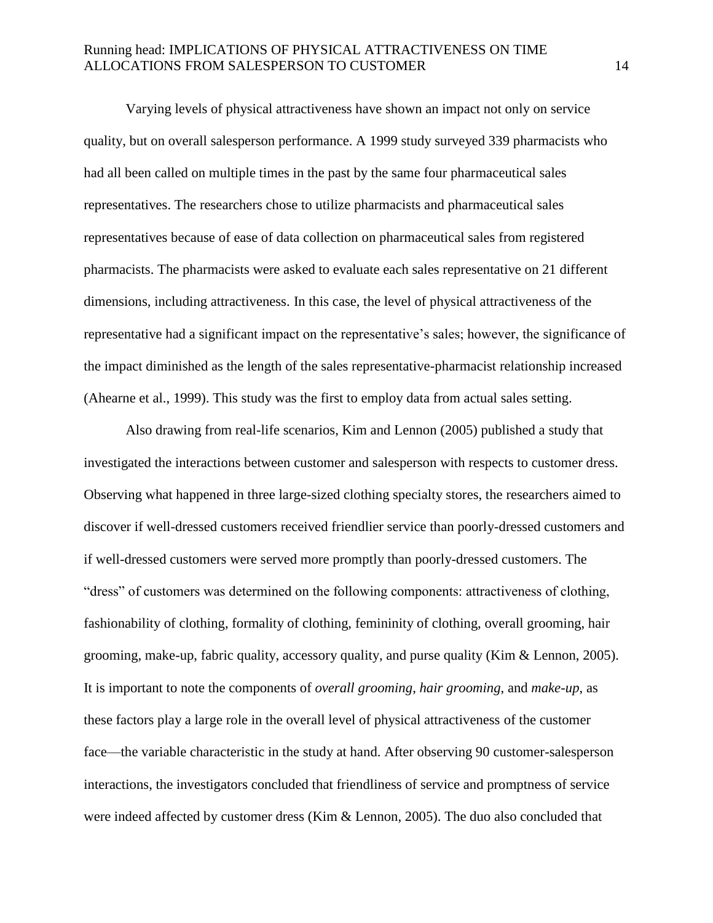Varying levels of physical attractiveness have shown an impact not only on service quality, but on overall salesperson performance. A 1999 study surveyed 339 pharmacists who had all been called on multiple times in the past by the same four pharmaceutical sales representatives. The researchers chose to utilize pharmacists and pharmaceutical sales representatives because of ease of data collection on pharmaceutical sales from registered pharmacists. The pharmacists were asked to evaluate each sales representative on 21 different dimensions, including attractiveness. In this case, the level of physical attractiveness of the representative had a significant impact on the representative's sales; however, the significance of the impact diminished as the length of the sales representative-pharmacist relationship increased (Ahearne et al., 1999). This study was the first to employ data from actual sales setting.

Also drawing from real-life scenarios, Kim and Lennon (2005) published a study that investigated the interactions between customer and salesperson with respects to customer dress. Observing what happened in three large-sized clothing specialty stores, the researchers aimed to discover if well-dressed customers received friendlier service than poorly-dressed customers and if well-dressed customers were served more promptly than poorly-dressed customers. The "dress" of customers was determined on the following components: attractiveness of clothing, fashionability of clothing, formality of clothing, femininity of clothing, overall grooming, hair grooming, make-up, fabric quality, accessory quality, and purse quality (Kim & Lennon, 2005). It is important to note the components of *overall grooming*, *hair grooming*, and *make-up*, as these factors play a large role in the overall level of physical attractiveness of the customer face—the variable characteristic in the study at hand. After observing 90 customer-salesperson interactions, the investigators concluded that friendliness of service and promptness of service were indeed affected by customer dress (Kim & Lennon, 2005). The duo also concluded that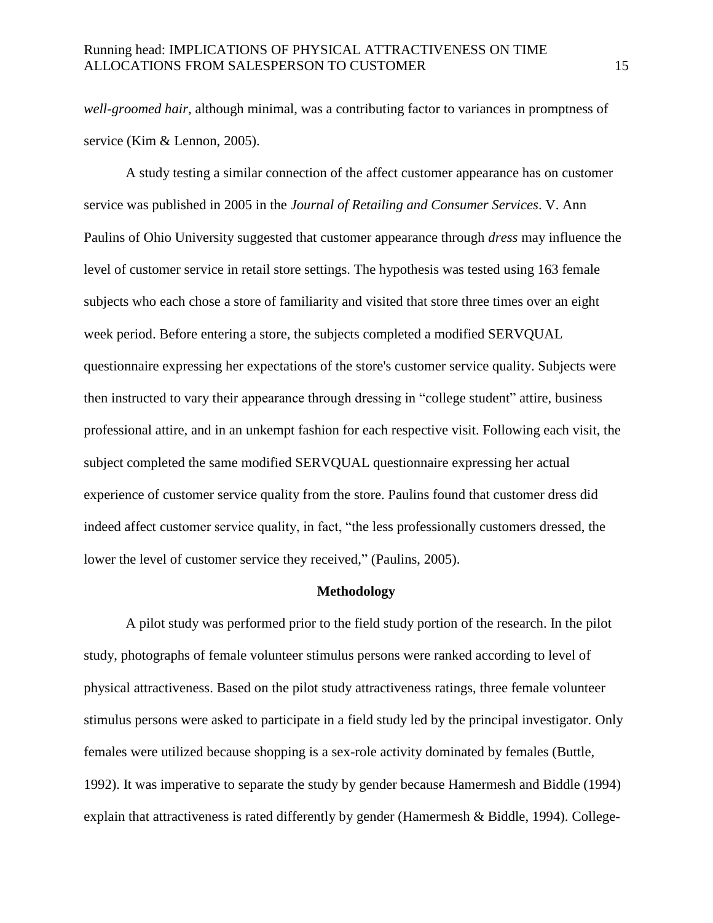*well-groomed hair*, although minimal, was a contributing factor to variances in promptness of service (Kim & Lennon, 2005).

A study testing a similar connection of the affect customer appearance has on customer service was published in 2005 in the *Journal of Retailing and Consumer Services*. V. Ann Paulins of Ohio University suggested that customer appearance through *dress* may influence the level of customer service in retail store settings. The hypothesis was tested using 163 female subjects who each chose a store of familiarity and visited that store three times over an eight week period. Before entering a store, the subjects completed a modified SERVQUAL questionnaire expressing her expectations of the store's customer service quality. Subjects were then instructed to vary their appearance through dressing in "college student" attire, business professional attire, and in an unkempt fashion for each respective visit. Following each visit, the subject completed the same modified SERVQUAL questionnaire expressing her actual experience of customer service quality from the store. Paulins found that customer dress did indeed affect customer service quality, in fact, "the less professionally customers dressed, the lower the level of customer service they received," (Paulins, 2005).

#### **Methodology**

A pilot study was performed prior to the field study portion of the research. In the pilot study, photographs of female volunteer stimulus persons were ranked according to level of physical attractiveness. Based on the pilot study attractiveness ratings, three female volunteer stimulus persons were asked to participate in a field study led by the principal investigator. Only females were utilized because shopping is a sex-role activity dominated by females (Buttle, 1992). It was imperative to separate the study by gender because Hamermesh and Biddle (1994) explain that attractiveness is rated differently by gender (Hamermesh & Biddle, 1994). College-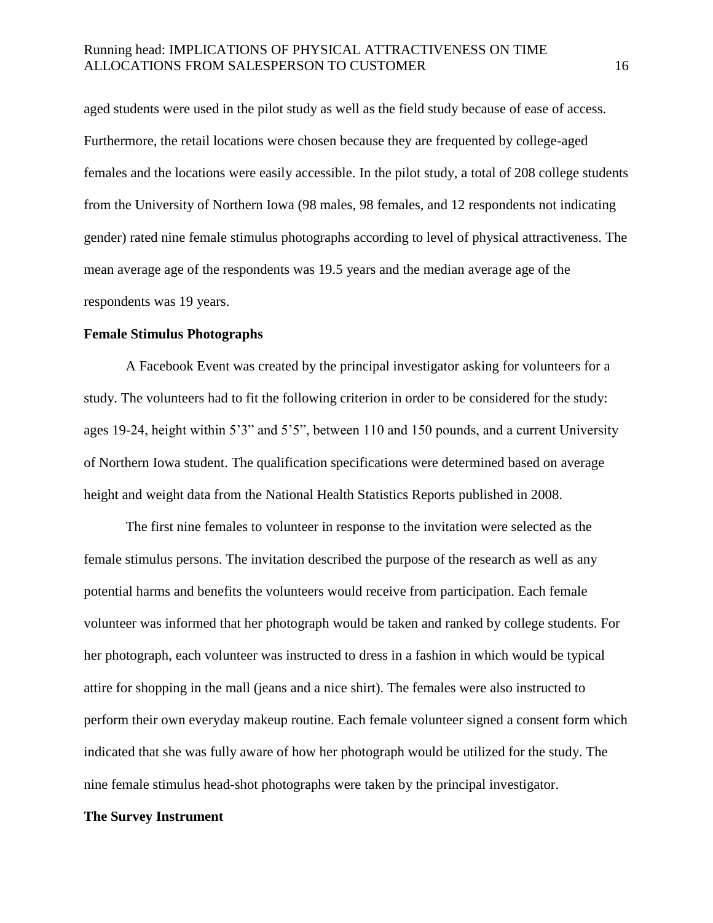aged students were used in the pilot study as well as the field study because of ease of access. Furthermore, the retail locations were chosen because they are frequented by college-aged females and the locations were easily accessible. In the pilot study, a total of 208 college students from the University of Northern Iowa (98 males, 98 females, and 12 respondents not indicating gender) rated nine female stimulus photographs according to level of physical attractiveness. The mean average age of the respondents was 19.5 years and the median average age of the respondents was 19 years.

#### **Female Stimulus Photographs**

A Facebook Event was created by the principal investigator asking for volunteers for a study. The volunteers had to fit the following criterion in order to be considered for the study: ages 19-24, height within 5'3" and 5'5", between 110 and 150 pounds, and a current University of Northern Iowa student. The qualification specifications were determined based on average height and weight data from the National Health Statistics Reports published in 2008.

The first nine females to volunteer in response to the invitation were selected as the female stimulus persons. The invitation described the purpose of the research as well as any potential harms and benefits the volunteers would receive from participation. Each female volunteer was informed that her photograph would be taken and ranked by college students. For her photograph, each volunteer was instructed to dress in a fashion in which would be typical attire for shopping in the mall (jeans and a nice shirt). The females were also instructed to perform their own everyday makeup routine. Each female volunteer signed a consent form which indicated that she was fully aware of how her photograph would be utilized for the study. The nine female stimulus head-shot photographs were taken by the principal investigator.

#### **The Survey Instrument**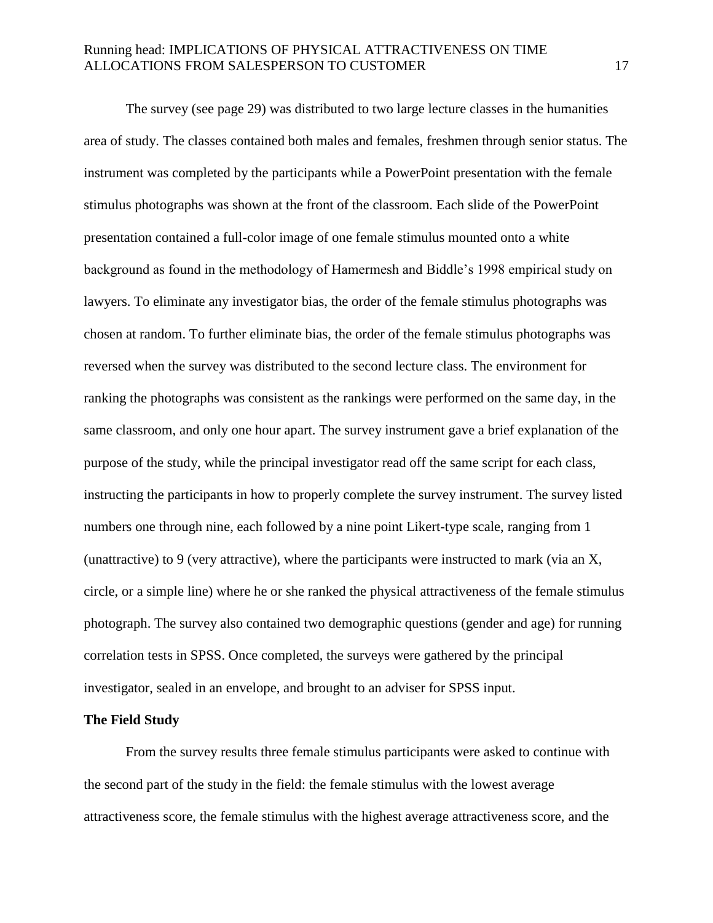The survey (see page 29) was distributed to two large lecture classes in the humanities area of study. The classes contained both males and females, freshmen through senior status. The instrument was completed by the participants while a PowerPoint presentation with the female stimulus photographs was shown at the front of the classroom. Each slide of the PowerPoint presentation contained a full-color image of one female stimulus mounted onto a white background as found in the methodology of Hamermesh and Biddle's 1998 empirical study on lawyers. To eliminate any investigator bias, the order of the female stimulus photographs was chosen at random. To further eliminate bias, the order of the female stimulus photographs was reversed when the survey was distributed to the second lecture class. The environment for ranking the photographs was consistent as the rankings were performed on the same day, in the same classroom, and only one hour apart. The survey instrument gave a brief explanation of the purpose of the study, while the principal investigator read off the same script for each class, instructing the participants in how to properly complete the survey instrument. The survey listed numbers one through nine, each followed by a nine point Likert-type scale, ranging from 1 (unattractive) to 9 (very attractive), where the participants were instructed to mark (via an X, circle, or a simple line) where he or she ranked the physical attractiveness of the female stimulus photograph. The survey also contained two demographic questions (gender and age) for running correlation tests in SPSS. Once completed, the surveys were gathered by the principal investigator, sealed in an envelope, and brought to an adviser for SPSS input.

#### **The Field Study**

From the survey results three female stimulus participants were asked to continue with the second part of the study in the field: the female stimulus with the lowest average attractiveness score, the female stimulus with the highest average attractiveness score, and the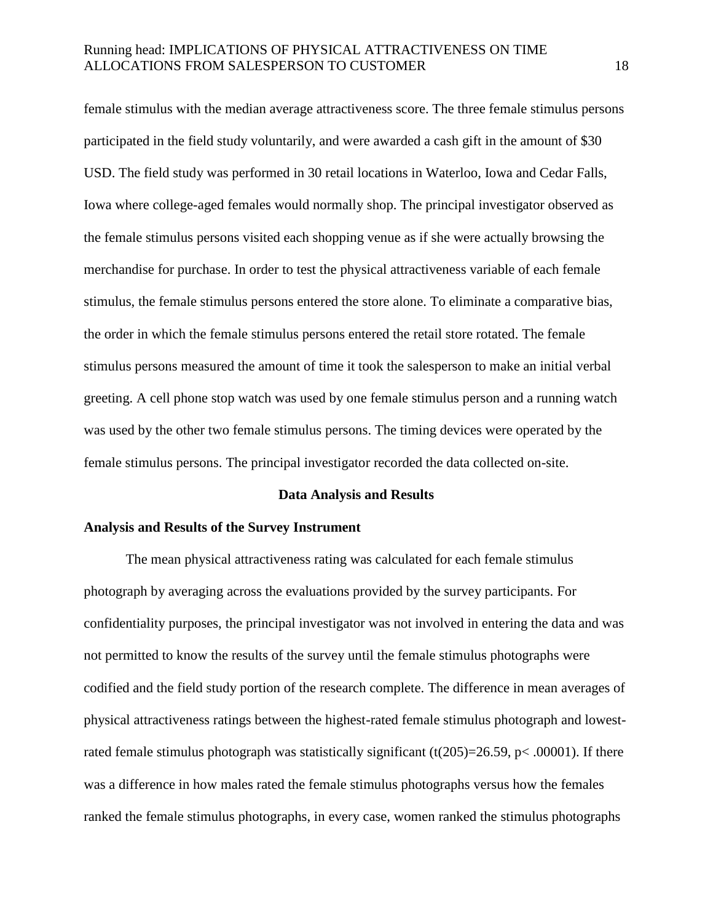female stimulus with the median average attractiveness score. The three female stimulus persons participated in the field study voluntarily, and were awarded a cash gift in the amount of \$30 USD. The field study was performed in 30 retail locations in Waterloo, Iowa and Cedar Falls, Iowa where college-aged females would normally shop. The principal investigator observed as the female stimulus persons visited each shopping venue as if she were actually browsing the merchandise for purchase. In order to test the physical attractiveness variable of each female stimulus, the female stimulus persons entered the store alone. To eliminate a comparative bias, the order in which the female stimulus persons entered the retail store rotated. The female stimulus persons measured the amount of time it took the salesperson to make an initial verbal greeting. A cell phone stop watch was used by one female stimulus person and a running watch was used by the other two female stimulus persons. The timing devices were operated by the female stimulus persons. The principal investigator recorded the data collected on-site.

#### **Data Analysis and Results**

#### **Analysis and Results of the Survey Instrument**

The mean physical attractiveness rating was calculated for each female stimulus photograph by averaging across the evaluations provided by the survey participants. For confidentiality purposes, the principal investigator was not involved in entering the data and was not permitted to know the results of the survey until the female stimulus photographs were codified and the field study portion of the research complete. The difference in mean averages of physical attractiveness ratings between the highest-rated female stimulus photograph and lowestrated female stimulus photograph was statistically significant (t(205)=26.59, p< .00001). If there was a difference in how males rated the female stimulus photographs versus how the females ranked the female stimulus photographs, in every case, women ranked the stimulus photographs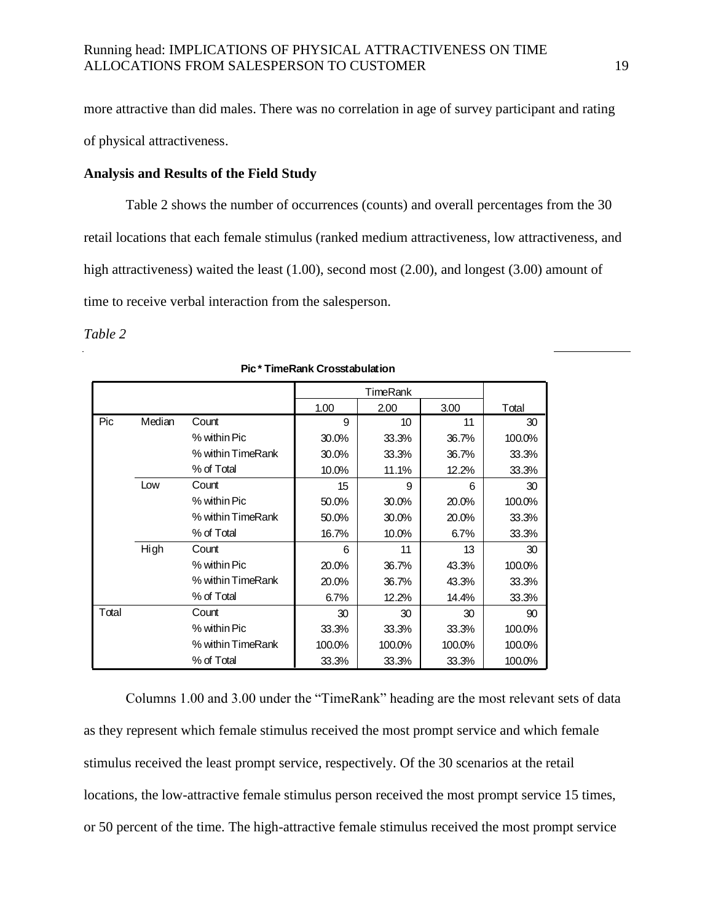more attractive than did males. There was no correlation in age of survey participant and rating of physical attractiveness.

#### **Analysis and Results of the Field Study**

Table 2 shows the number of occurrences (counts) and overall percentages from the 30 retail locations that each female stimulus (ranked medium attractiveness, low attractiveness, and high attractiveness) waited the least (1.00), second most (2.00), and longest (3.00) amount of time to receive verbal interaction from the salesperson.

*Table 2*

|       |        |                   |        | TimeRank |        |        |
|-------|--------|-------------------|--------|----------|--------|--------|
|       |        |                   | 1.00   | 2.00     | 3.00   | Total  |
| Pic   | Median | Count             | 9      | 10       | 11     | 30     |
|       |        | % within Pic      | 30.0%  | 33.3%    | 36.7%  | 100.0% |
|       |        | % within TimeRank | 30.0%  | 33.3%    | 36.7%  | 33.3%  |
|       |        | % of Total        | 10.0%  | 11.1%    | 12.2%  | 33.3%  |
|       | Low    | Count             | 15     | 9        | 6      | 30     |
|       |        | % within Pic      | 50.0%  | 30.0%    | 20.0%  | 100.0% |
|       |        | % within TimeRank | 50.0%  | 30.0%    | 20.0%  | 33.3%  |
|       |        | % of Total        | 16.7%  | 10.0%    | 6.7%   | 33.3%  |
|       | High   | Count             | 6      | 11       | 13     | 30     |
|       |        | % within Pic      | 20.0%  | 36.7%    | 43.3%  | 100.0% |
|       |        | % within TimeRank | 20.0%  | 36.7%    | 43.3%  | 33.3%  |
|       |        | % of Total        | 6.7%   | 12.2%    | 14.4%  | 33.3%  |
| Total |        | Count             | 30     | 30       | 30     | 90     |
|       |        | % within Pic      | 33.3%  | 33.3%    | 33.3%  | 100.0% |
|       |        | % within TimeRank | 100.0% | 100.0%   | 100.0% | 100.0% |
|       |        | % of Total        | 33.3%  | 33.3%    | 33.3%  | 100.0% |

#### **Pic \* TimeRank Crosstabulation**

Columns 1.00 and 3.00 under the "TimeRank" heading are the most relevant sets of data as they represent which female stimulus received the most prompt service and which female stimulus received the least prompt service, respectively. Of the 30 scenarios at the retail locations, the low-attractive female stimulus person received the most prompt service 15 times, or 50 percent of the time. The high-attractive female stimulus received the most prompt service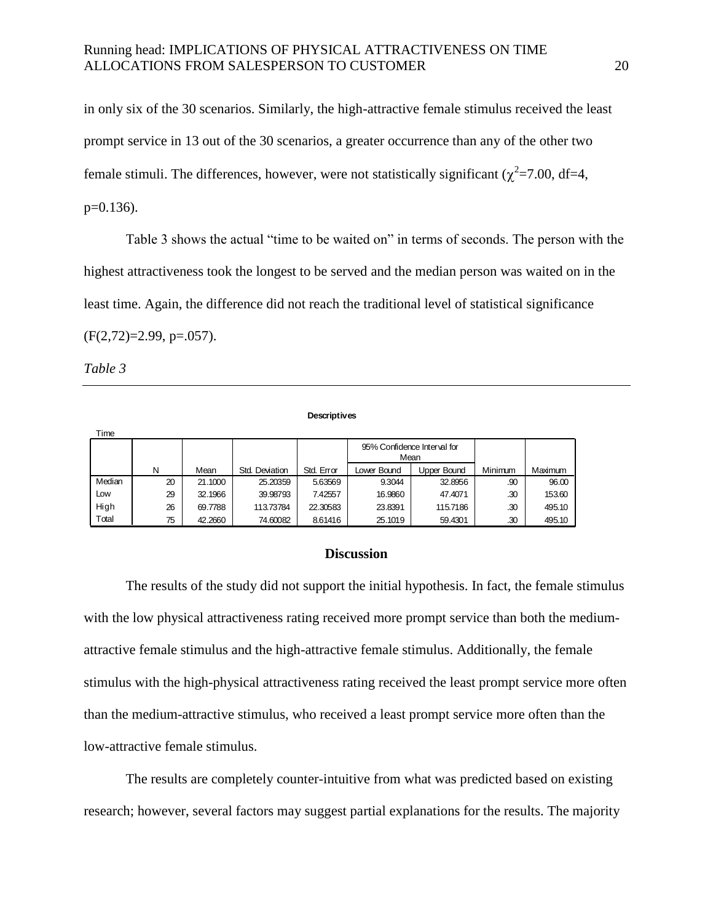in only six of the 30 scenarios. Similarly, the high-attractive female stimulus received the least prompt service in 13 out of the 30 scenarios, a greater occurrence than any of the other two female stimuli. The differences, however, were not statistically significant ( $\chi^2$ =7.00, df=4,  $p=0.136$ ).

Table 3 shows the actual "time to be waited on" in terms of seconds. The person with the highest attractiveness took the longest to be served and the median person was waited on in the least time. Again, the difference did not reach the traditional level of statistical significance  $(F(2,72)=2.99, p=.057)$ .

*Table 3*

Time

#### **Descriptives**

| .      |    |         |                |            |                                     |             |         |         |
|--------|----|---------|----------------|------------|-------------------------------------|-------------|---------|---------|
|        |    |         |                |            | 95% Confidence Interval for<br>Mean |             |         |         |
|        | N  | Mean    | Std. Deviation | Std. Error | Lower Bound                         | Upper Bound | Minimum | Maximum |
| Median | 20 | 21.1000 | 25.20359       | 5.63569    | 9.3044                              | 32.8956     | .90     | 96.00   |
| Low    | 29 | 32.1966 | 39.98793       | 7.42557    | 16.9860                             | 47.4071     | .30     | 153.60  |
| High   | 26 | 69.7788 | 113.73784      | 22.30583   | 23.8391                             | 115.7186    | .30     | 495.10  |
| Total  | 75 | 42.2660 | 74.60082       | 8.61416    | 25.1019                             | 59.4301     | .30     | 495.10  |

#### **Discussion**

The results of the study did not support the initial hypothesis. In fact, the female stimulus with the low physical attractiveness rating received more prompt service than both the mediumattractive female stimulus and the high-attractive female stimulus. Additionally, the female stimulus with the high-physical attractiveness rating received the least prompt service more often than the medium-attractive stimulus, who received a least prompt service more often than the low-attractive female stimulus.

The results are completely counter-intuitive from what was predicted based on existing research; however, several factors may suggest partial explanations for the results. The majority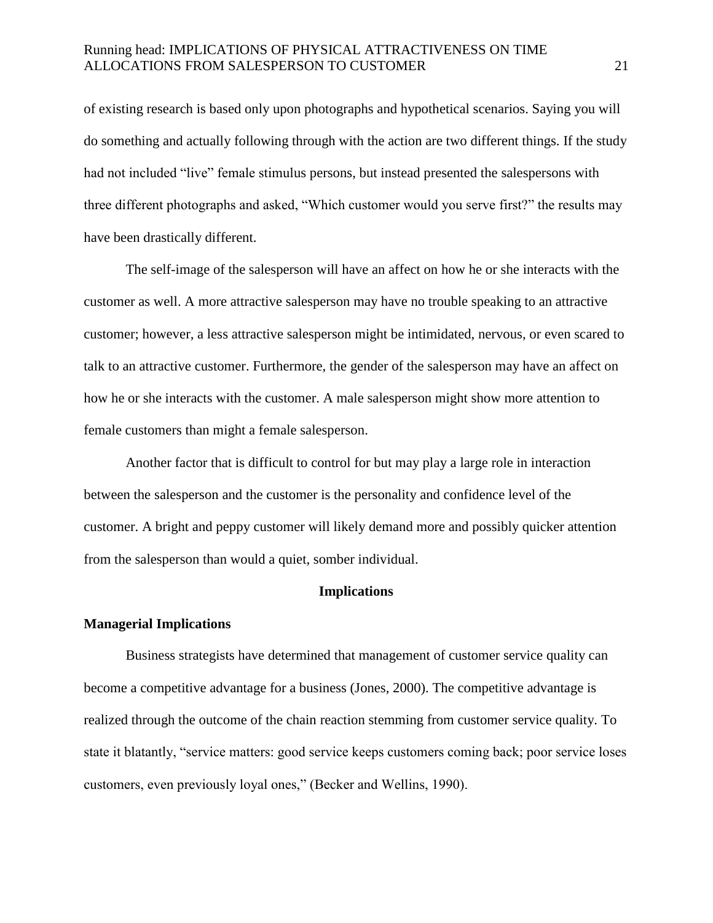of existing research is based only upon photographs and hypothetical scenarios. Saying you will do something and actually following through with the action are two different things. If the study had not included "live" female stimulus persons, but instead presented the salespersons with three different photographs and asked, "Which customer would you serve first?" the results may have been drastically different.

The self-image of the salesperson will have an affect on how he or she interacts with the customer as well. A more attractive salesperson may have no trouble speaking to an attractive customer; however, a less attractive salesperson might be intimidated, nervous, or even scared to talk to an attractive customer. Furthermore, the gender of the salesperson may have an affect on how he or she interacts with the customer. A male salesperson might show more attention to female customers than might a female salesperson.

Another factor that is difficult to control for but may play a large role in interaction between the salesperson and the customer is the personality and confidence level of the customer. A bright and peppy customer will likely demand more and possibly quicker attention from the salesperson than would a quiet, somber individual.

#### **Implications**

#### **Managerial Implications**

Business strategists have determined that management of customer service quality can become a competitive advantage for a business (Jones, 2000). The competitive advantage is realized through the outcome of the chain reaction stemming from customer service quality. To state it blatantly, "service matters: good service keeps customers coming back; poor service loses customers, even previously loyal ones," (Becker and Wellins, 1990).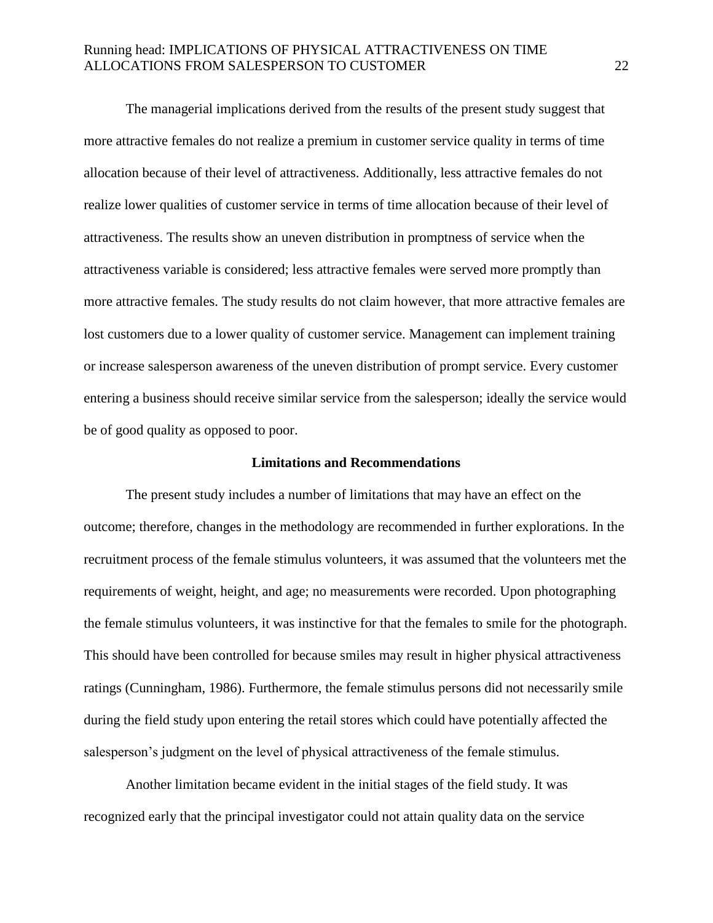The managerial implications derived from the results of the present study suggest that more attractive females do not realize a premium in customer service quality in terms of time allocation because of their level of attractiveness. Additionally, less attractive females do not realize lower qualities of customer service in terms of time allocation because of their level of attractiveness. The results show an uneven distribution in promptness of service when the attractiveness variable is considered; less attractive females were served more promptly than more attractive females. The study results do not claim however, that more attractive females are lost customers due to a lower quality of customer service. Management can implement training or increase salesperson awareness of the uneven distribution of prompt service. Every customer entering a business should receive similar service from the salesperson; ideally the service would be of good quality as opposed to poor.

#### **Limitations and Recommendations**

The present study includes a number of limitations that may have an effect on the outcome; therefore, changes in the methodology are recommended in further explorations. In the recruitment process of the female stimulus volunteers, it was assumed that the volunteers met the requirements of weight, height, and age; no measurements were recorded. Upon photographing the female stimulus volunteers, it was instinctive for that the females to smile for the photograph. This should have been controlled for because smiles may result in higher physical attractiveness ratings (Cunningham, 1986). Furthermore, the female stimulus persons did not necessarily smile during the field study upon entering the retail stores which could have potentially affected the salesperson's judgment on the level of physical attractiveness of the female stimulus.

Another limitation became evident in the initial stages of the field study. It was recognized early that the principal investigator could not attain quality data on the service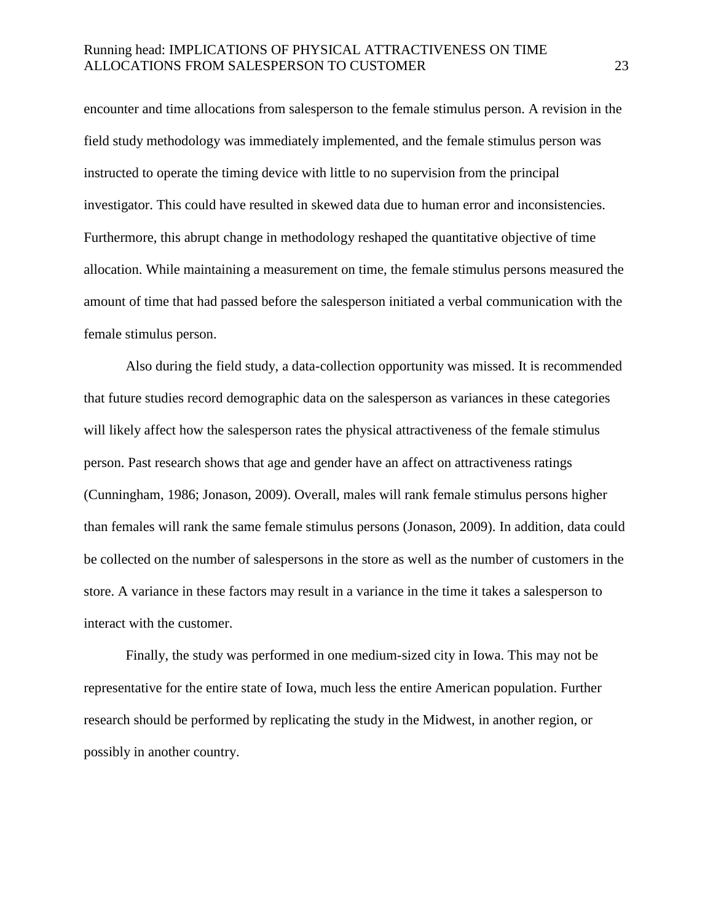encounter and time allocations from salesperson to the female stimulus person. A revision in the field study methodology was immediately implemented, and the female stimulus person was instructed to operate the timing device with little to no supervision from the principal investigator. This could have resulted in skewed data due to human error and inconsistencies. Furthermore, this abrupt change in methodology reshaped the quantitative objective of time allocation. While maintaining a measurement on time, the female stimulus persons measured the amount of time that had passed before the salesperson initiated a verbal communication with the female stimulus person.

Also during the field study, a data-collection opportunity was missed. It is recommended that future studies record demographic data on the salesperson as variances in these categories will likely affect how the salesperson rates the physical attractiveness of the female stimulus person. Past research shows that age and gender have an affect on attractiveness ratings (Cunningham, 1986; Jonason, 2009). Overall, males will rank female stimulus persons higher than females will rank the same female stimulus persons (Jonason, 2009). In addition, data could be collected on the number of salespersons in the store as well as the number of customers in the store. A variance in these factors may result in a variance in the time it takes a salesperson to interact with the customer.

Finally, the study was performed in one medium-sized city in Iowa. This may not be representative for the entire state of Iowa, much less the entire American population. Further research should be performed by replicating the study in the Midwest, in another region, or possibly in another country.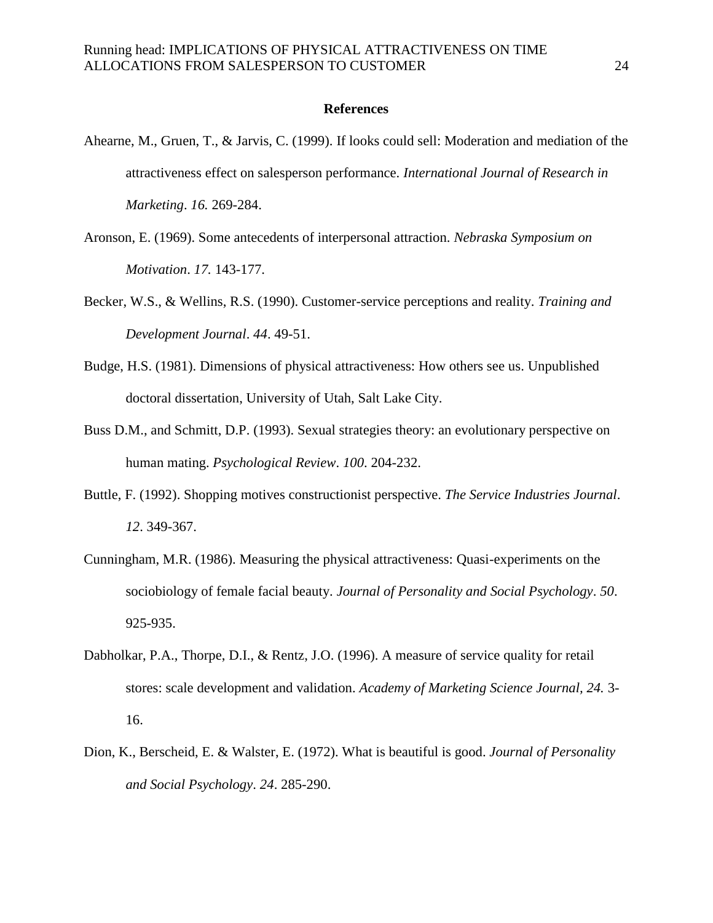#### **References**

- Ahearne, M., Gruen, T., & Jarvis, C. (1999). If looks could sell: Moderation and mediation of the attractiveness effect on salesperson performance. *International Journal of Research in Marketing*. *16.* 269-284.
- Aronson, E. (1969). Some antecedents of interpersonal attraction. *Nebraska Symposium on Motivation*. *17.* 143-177.
- Becker, W.S., & Wellins, R.S. (1990). Customer-service perceptions and reality. *Training and Development Journal*. *44*. 49-51.
- Budge, H.S. (1981). Dimensions of physical attractiveness: How others see us. Unpublished doctoral dissertation, University of Utah, Salt Lake City.
- Buss D.M., and Schmitt, D.P. (1993). Sexual strategies theory: an evolutionary perspective on human mating. *Psychological Review*. *100*. 204-232.
- Buttle, F. (1992). Shopping motives constructionist perspective. *The Service Industries Journal*. *12*. 349-367.
- Cunningham, M.R. (1986). Measuring the physical attractiveness: Quasi-experiments on the sociobiology of female facial beauty. *Journal of Personality and Social Psychology*. *50*. 925-935.
- Dabholkar, P.A., Thorpe, D.I., & Rentz, J.O. (1996). A measure of service quality for retail stores: scale development and validation. *Academy of Marketing Science Journal, 24.* 3- 16.
- Dion, K., Berscheid, E. & Walster, E. (1972). What is beautiful is good. *Journal of Personality and Social Psychology*. *24*. 285-290.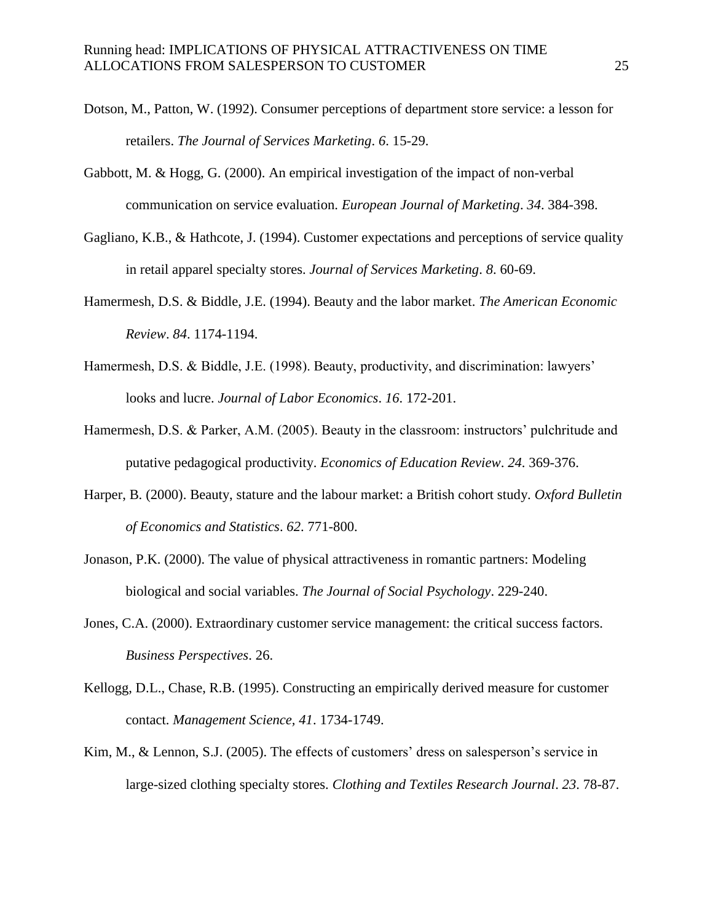- Dotson, M., Patton, W. (1992). Consumer perceptions of department store service: a lesson for retailers. *The Journal of Services Marketing*. *6*. 15-29.
- Gabbott, M. & Hogg, G. (2000). An empirical investigation of the impact of non-verbal communication on service evaluation. *European Journal of Marketing*. *34*. 384-398.
- Gagliano, K.B., & Hathcote, J. (1994). Customer expectations and perceptions of service quality in retail apparel specialty stores. *Journal of Services Marketing*. *8*. 60-69.
- Hamermesh, D.S. & Biddle, J.E. (1994). Beauty and the labor market. *The American Economic Review*. *84*. 1174-1194.
- Hamermesh, D.S. & Biddle, J.E. (1998). Beauty, productivity, and discrimination: lawyers' looks and lucre. *Journal of Labor Economics*. *16*. 172-201.
- Hamermesh, D.S. & Parker, A.M. (2005). Beauty in the classroom: instructors' pulchritude and putative pedagogical productivity. *Economics of Education Review*. *24*. 369-376.
- Harper, B. (2000). Beauty, stature and the labour market: a British cohort study. *Oxford Bulletin of Economics and Statistics*. *62*. 771-800.
- Jonason, P.K. (2000). The value of physical attractiveness in romantic partners: Modeling biological and social variables. *The Journal of Social Psychology*. 229-240.
- Jones, C.A. (2000). Extraordinary customer service management: the critical success factors. *Business Perspectives*. 26.
- Kellogg, D.L., Chase, R.B. (1995). Constructing an empirically derived measure for customer contact. *Management Science, 41*. 1734-1749.
- Kim, M., & Lennon, S.J. (2005). The effects of customers' dress on salesperson's service in large-sized clothing specialty stores. *Clothing and Textiles Research Journal*. *23*. 78-87.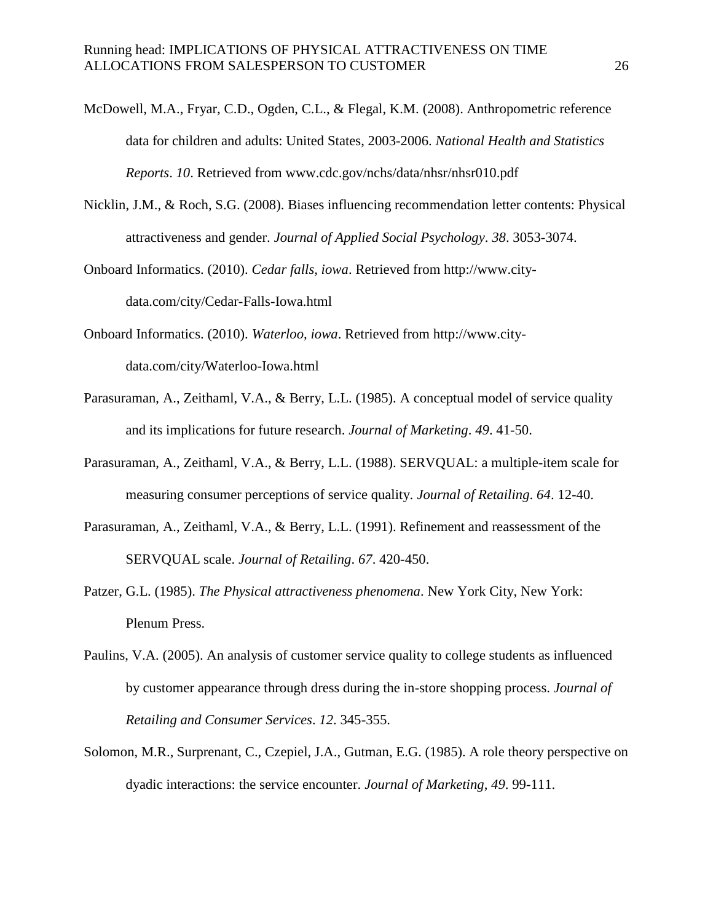- McDowell, M.A., Fryar, C.D., Ogden, C.L., & Flegal, K.M. (2008). Anthropometric reference data for children and adults: United States, 2003-2006. *National Health and Statistics Reports*. *10*. Retrieved from www.cdc.gov/nchs/data/nhsr/nhsr010.pdf
- Nicklin, J.M., & Roch, S.G. (2008). Biases influencing recommendation letter contents: Physical attractiveness and gender. *Journal of Applied Social Psychology*. *38*. 3053-3074.
- Onboard Informatics. (2010). *Cedar falls, iowa*. Retrieved from http://www.citydata.com/city/Cedar-Falls-Iowa.html
- Onboard Informatics. (2010). *Waterloo, iowa*. Retrieved from http://www.citydata.com/city/Waterloo-Iowa.html
- Parasuraman, A., Zeithaml, V.A., & Berry, L.L. (1985). A conceptual model of service quality and its implications for future research. *Journal of Marketing*. *49*. 41-50.
- Parasuraman, A., Zeithaml, V.A., & Berry, L.L. (1988). SERVQUAL: a multiple-item scale for measuring consumer perceptions of service quality. *Journal of Retailing*. *64*. 12-40.
- Parasuraman, A., Zeithaml, V.A., & Berry, L.L. (1991). Refinement and reassessment of the SERVQUAL scale. *Journal of Retailing*. *67*. 420-450.
- Patzer, G.L. (1985). *The Physical attractiveness phenomena*. New York City, New York: Plenum Press.
- Paulins, V.A. (2005). An analysis of customer service quality to college students as influenced by customer appearance through dress during the in-store shopping process. *Journal of Retailing and Consumer Services*. *12*. 345-355.
- Solomon, M.R., Surprenant, C., Czepiel, J.A., Gutman, E.G. (1985). A role theory perspective on dyadic interactions: the service encounter. *Journal of Marketing*, *49*. 99-111.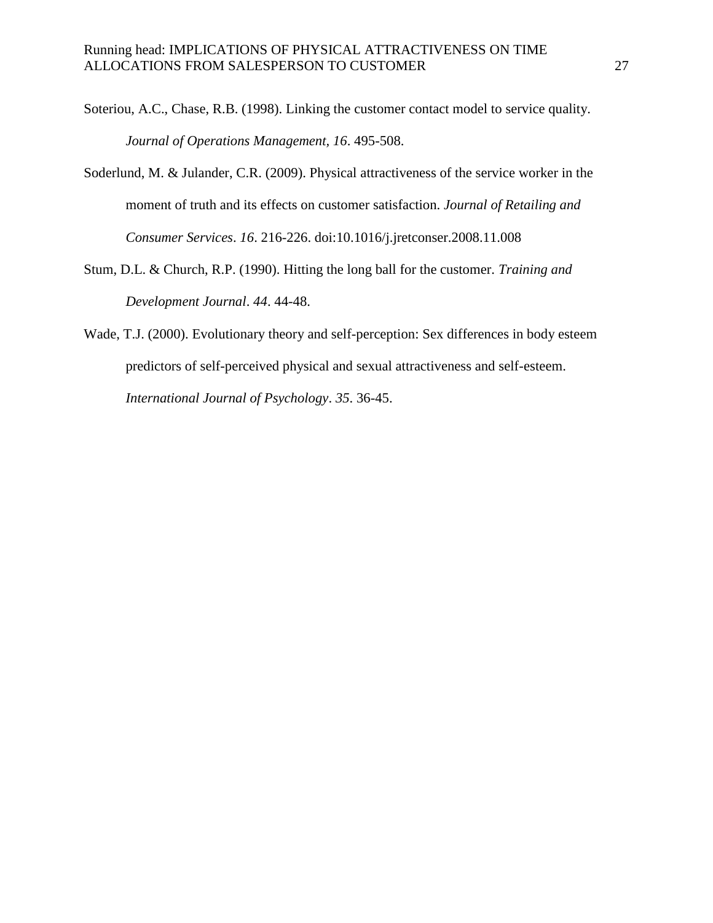- Soteriou, A.C., Chase, R.B. (1998). Linking the customer contact model to service quality. *Journal of Operations Management, 16*. 495-508.
- Soderlund, M. & Julander, C.R. (2009). Physical attractiveness of the service worker in the moment of truth and its effects on customer satisfaction. *Journal of Retailing and Consumer Services*. *16*. 216-226. doi:10.1016/j.jretconser.2008.11.008
- Stum, D.L. & Church, R.P. (1990). Hitting the long ball for the customer. *Training and Development Journal*. *44*. 44-48.
- Wade, T.J. (2000). Evolutionary theory and self-perception: Sex differences in body esteem predictors of self-perceived physical and sexual attractiveness and self-esteem. *International Journal of Psychology*. *35*. 36-45.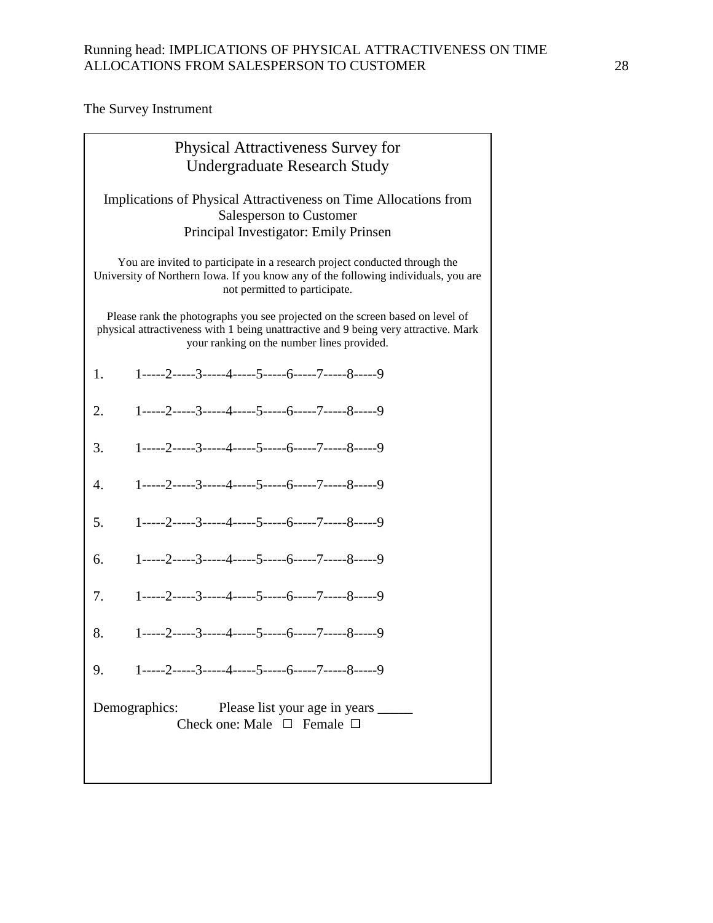The Survey Instrument

| <b>Physical Attractiveness Survey for</b><br><b>Undergraduate Research Study</b>                                                                                                                                                                                              |  |  |  |  |  |
|-------------------------------------------------------------------------------------------------------------------------------------------------------------------------------------------------------------------------------------------------------------------------------|--|--|--|--|--|
| Implications of Physical Attractiveness on Time Allocations from<br><b>Salesperson to Customer</b><br>Principal Investigator: Emily Prinsen                                                                                                                                   |  |  |  |  |  |
| You are invited to participate in a research project conducted through the<br>University of Northern Iowa. If you know any of the following individuals, you are<br>not permitted to participate.                                                                             |  |  |  |  |  |
| Please rank the photographs you see projected on the screen based on level of<br>physical attractiveness with 1 being unattractive and 9 being very attractive. Mark<br>your ranking on the number lines provided.<br>1-----2-----3-----4-----5-----6-----7-----8-----9<br>1. |  |  |  |  |  |
|                                                                                                                                                                                                                                                                               |  |  |  |  |  |
| 1-----2-----3-----4-----5-----6-----7-----8-----9<br>2.                                                                                                                                                                                                                       |  |  |  |  |  |
| 1-----2-----3-----4-----5-----6-----7-----8-----9<br>3.                                                                                                                                                                                                                       |  |  |  |  |  |
| 1-----2-----3-----4-----5-----6-----7-----8-----9<br>4.                                                                                                                                                                                                                       |  |  |  |  |  |
| $1$ -----2-----3-----4-----5-----6-----7-----8-----9<br>5.                                                                                                                                                                                                                    |  |  |  |  |  |
| $1$ -----2-----3-----4-----5-----6-----7-----8-----9<br>6.                                                                                                                                                                                                                    |  |  |  |  |  |
| $1$ -----2-----3-----4-----5-----6-----7-----8-----9<br>7.                                                                                                                                                                                                                    |  |  |  |  |  |
| $1$ -----2----3-----4-----5-----6-----7-----8-----9<br>8.                                                                                                                                                                                                                     |  |  |  |  |  |
| 1-----2-----3-----4-----5-----6-----7-----8-----9<br>9.                                                                                                                                                                                                                       |  |  |  |  |  |
| Demographics: Please list your age in years ______<br>Check one: Male $\Box$ Female $\Box$                                                                                                                                                                                    |  |  |  |  |  |
|                                                                                                                                                                                                                                                                               |  |  |  |  |  |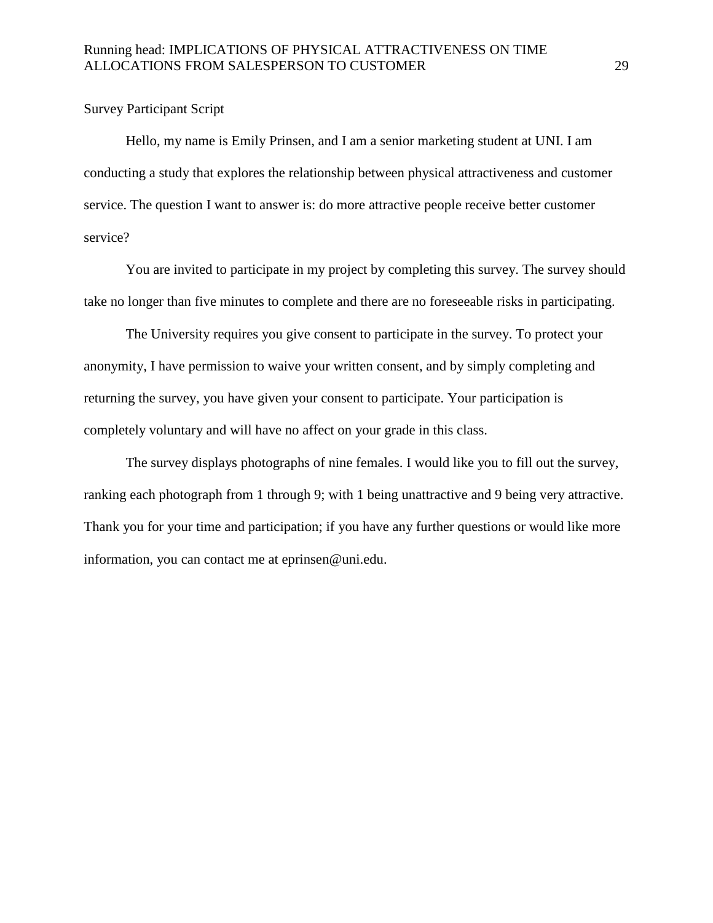# Survey Participant Script

Hello, my name is Emily Prinsen, and I am a senior marketing student at UNI. I am conducting a study that explores the relationship between physical attractiveness and customer service. The question I want to answer is: do more attractive people receive better customer service?

You are invited to participate in my project by completing this survey. The survey should take no longer than five minutes to complete and there are no foreseeable risks in participating.

The University requires you give consent to participate in the survey. To protect your anonymity, I have permission to waive your written consent, and by simply completing and returning the survey, you have given your consent to participate. Your participation is completely voluntary and will have no affect on your grade in this class.

The survey displays photographs of nine females. I would like you to fill out the survey, ranking each photograph from 1 through 9; with 1 being unattractive and 9 being very attractive. Thank you for your time and participation; if you have any further questions or would like more information, you can contact me at eprinsen@uni.edu.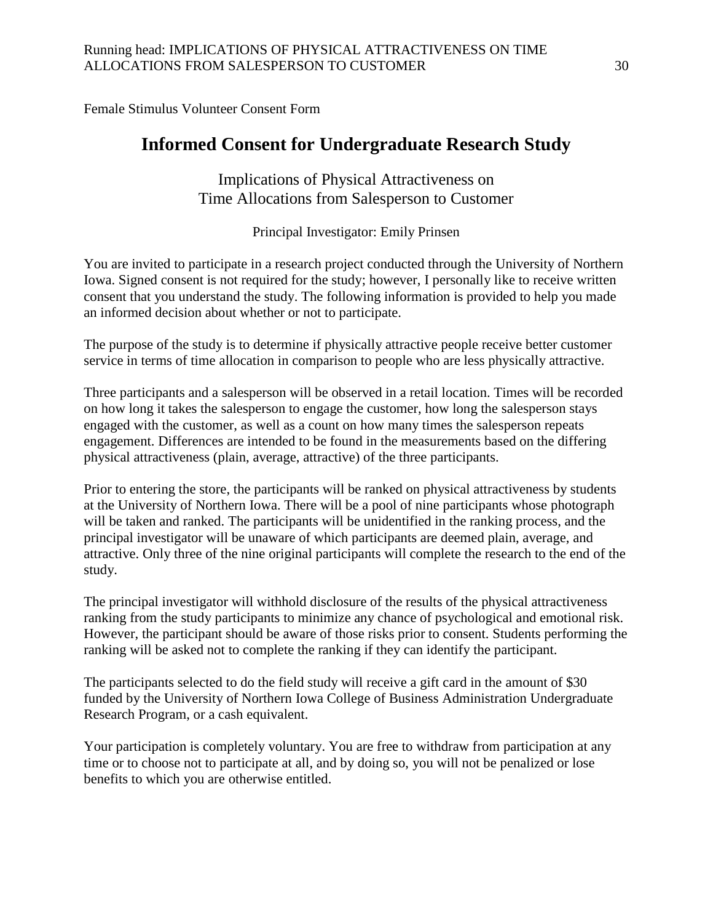Female Stimulus Volunteer Consent Form

# **Informed Consent for Undergraduate Research Study**

Implications of Physical Attractiveness on Time Allocations from Salesperson to Customer

Principal Investigator: Emily Prinsen

You are invited to participate in a research project conducted through the University of Northern Iowa. Signed consent is not required for the study; however, I personally like to receive written consent that you understand the study. The following information is provided to help you made an informed decision about whether or not to participate.

The purpose of the study is to determine if physically attractive people receive better customer service in terms of time allocation in comparison to people who are less physically attractive.

Three participants and a salesperson will be observed in a retail location. Times will be recorded on how long it takes the salesperson to engage the customer, how long the salesperson stays engaged with the customer, as well as a count on how many times the salesperson repeats engagement. Differences are intended to be found in the measurements based on the differing physical attractiveness (plain, average, attractive) of the three participants.

Prior to entering the store, the participants will be ranked on physical attractiveness by students at the University of Northern Iowa. There will be a pool of nine participants whose photograph will be taken and ranked. The participants will be unidentified in the ranking process, and the principal investigator will be unaware of which participants are deemed plain, average, and attractive. Only three of the nine original participants will complete the research to the end of the study.

The principal investigator will withhold disclosure of the results of the physical attractiveness ranking from the study participants to minimize any chance of psychological and emotional risk. However, the participant should be aware of those risks prior to consent. Students performing the ranking will be asked not to complete the ranking if they can identify the participant.

The participants selected to do the field study will receive a gift card in the amount of \$30 funded by the University of Northern Iowa College of Business Administration Undergraduate Research Program, or a cash equivalent.

Your participation is completely voluntary. You are free to withdraw from participation at any time or to choose not to participate at all, and by doing so, you will not be penalized or lose benefits to which you are otherwise entitled.